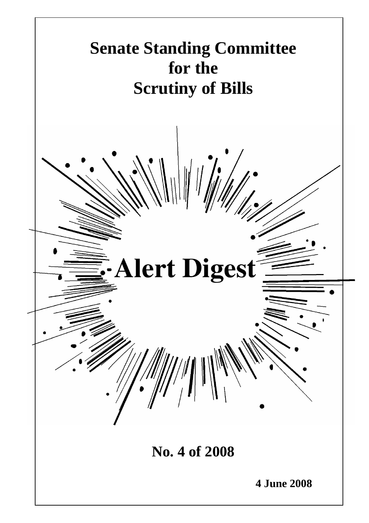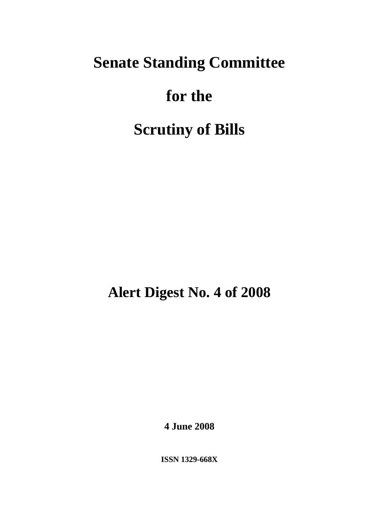# **Senate Standing Committee**

# **for the**

# **Scrutiny of Bills**

**Alert Digest No. 4 of 2008** 

**4 June 2008** 

**ISSN 1329-668X**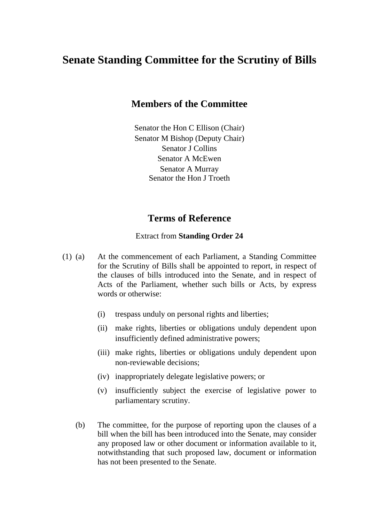### **Senate Standing Committee for the Scrutiny of Bills**

#### **Members of the Committee**

Senator the Hon C Ellison (Chair) Senator M Bishop (Deputy Chair) Senator I Collins Senator A McEwen Senator A Murray Senator the Hon J Troeth

#### **Terms of Reference**

#### Extract from **Standing Order 24**

- (1) (a) At the commencement of each Parliament, a Standing Committee for the Scrutiny of Bills shall be appointed to report, in respect of the clauses of bills introduced into the Senate, and in respect of Acts of the Parliament, whether such bills or Acts, by express words or otherwise:
	- (i) trespass unduly on personal rights and liberties;
	- (ii) make rights, liberties or obligations unduly dependent upon insufficiently defined administrative powers;
	- (iii) make rights, liberties or obligations unduly dependent upon non-reviewable decisions;
	- (iv) inappropriately delegate legislative powers; or
	- (v) insufficiently subject the exercise of legislative power to parliamentary scrutiny.
	- (b) The committee, for the purpose of reporting upon the clauses of a bill when the bill has been introduced into the Senate, may consider any proposed law or other document or information available to it, notwithstanding that such proposed law, document or information has not been presented to the Senate.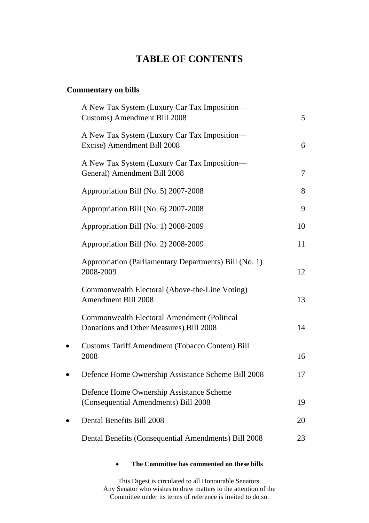#### **Commentary on bills**

|           | A New Tax System (Luxury Car Tax Imposition—<br>Customs) Amendment Bill 2008                  | 5  |
|-----------|-----------------------------------------------------------------------------------------------|----|
|           | A New Tax System (Luxury Car Tax Imposition—<br>Excise) Amendment Bill 2008                   | 6  |
|           | A New Tax System (Luxury Car Tax Imposition—<br>General) Amendment Bill 2008                  | 7  |
|           | Appropriation Bill (No. 5) 2007-2008                                                          | 8  |
|           | Appropriation Bill (No. 6) 2007-2008                                                          | 9  |
|           | Appropriation Bill (No. 1) 2008-2009                                                          | 10 |
|           | Appropriation Bill (No. 2) 2008-2009                                                          | 11 |
|           | Appropriation (Parliamentary Departments) Bill (No. 1)<br>2008-2009                           | 12 |
|           | Commonwealth Electoral (Above-the-Line Voting)<br><b>Amendment Bill 2008</b>                  | 13 |
|           | <b>Commonwealth Electoral Amendment (Political</b><br>Donations and Other Measures) Bill 2008 | 14 |
| $\bullet$ | <b>Customs Tariff Amendment (Tobacco Content) Bill</b><br>2008                                | 16 |
| $\bullet$ | Defence Home Ownership Assistance Scheme Bill 2008                                            | 17 |
|           | Defence Home Ownership Assistance Scheme<br>(Consequential Amendments) Bill 2008              | 19 |
|           | Dental Benefits Bill 2008                                                                     | 20 |
|           | Dental Benefits (Consequential Amendments) Bill 2008                                          | 23 |

#### • **The Committee has commented on these bills**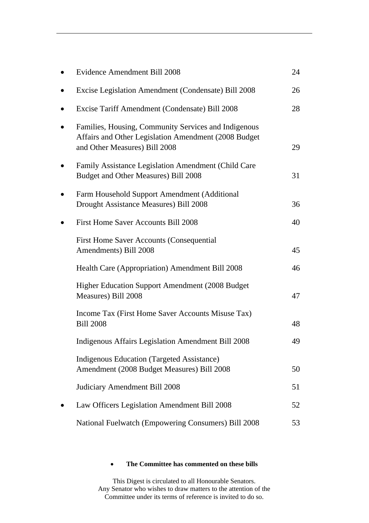|           | Evidence Amendment Bill 2008                                                                                                                  | 24 |
|-----------|-----------------------------------------------------------------------------------------------------------------------------------------------|----|
|           | Excise Legislation Amendment (Condensate) Bill 2008                                                                                           | 26 |
| $\bullet$ | Excise Tariff Amendment (Condensate) Bill 2008                                                                                                | 28 |
|           | Families, Housing, Community Services and Indigenous<br>Affairs and Other Legislation Amendment (2008 Budget<br>and Other Measures) Bill 2008 | 29 |
|           | Family Assistance Legislation Amendment (Child Care<br>Budget and Other Measures) Bill 2008                                                   | 31 |
|           | Farm Household Support Amendment (Additional<br>Drought Assistance Measures) Bill 2008                                                        | 36 |
|           | First Home Saver Accounts Bill 2008                                                                                                           | 40 |
|           | <b>First Home Saver Accounts (Consequential</b><br>Amendments) Bill 2008                                                                      | 45 |
|           | Health Care (Appropriation) Amendment Bill 2008                                                                                               | 46 |
|           | <b>Higher Education Support Amendment (2008 Budget)</b><br>Measures) Bill 2008                                                                | 47 |
|           | Income Tax (First Home Saver Accounts Misuse Tax)<br><b>Bill 2008</b>                                                                         | 48 |
|           | <b>Indigenous Affairs Legislation Amendment Bill 2008</b>                                                                                     | 49 |
|           | <b>Indigenous Education (Targeted Assistance)</b><br>Amendment (2008 Budget Measures) Bill 2008                                               | 50 |
|           | Judiciary Amendment Bill 2008                                                                                                                 | 51 |
|           | Law Officers Legislation Amendment Bill 2008                                                                                                  | 52 |
|           | National Fuelwatch (Empowering Consumers) Bill 2008                                                                                           | 53 |

#### • **The Committee has commented on these bills**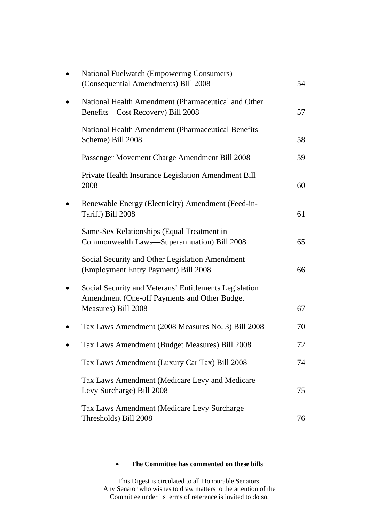| <b>National Fuelwatch (Empowering Consumers)</b><br>(Consequential Amendments) Bill 2008                                      | 54 |
|-------------------------------------------------------------------------------------------------------------------------------|----|
| National Health Amendment (Pharmaceutical and Other<br>Benefits-Cost Recovery) Bill 2008                                      | 57 |
| National Health Amendment (Pharmaceutical Benefits<br>Scheme) Bill 2008                                                       | 58 |
| Passenger Movement Charge Amendment Bill 2008                                                                                 | 59 |
| Private Health Insurance Legislation Amendment Bill<br>2008                                                                   | 60 |
| Renewable Energy (Electricity) Amendment (Feed-in-<br>Tariff) Bill 2008                                                       | 61 |
| Same-Sex Relationships (Equal Treatment in<br>Commonwealth Laws-Superannuation) Bill 2008                                     | 65 |
| Social Security and Other Legislation Amendment<br>(Employment Entry Payment) Bill 2008                                       | 66 |
| Social Security and Veterans' Entitlements Legislation<br>Amendment (One-off Payments and Other Budget<br>Measures) Bill 2008 | 67 |
| Tax Laws Amendment (2008 Measures No. 3) Bill 2008                                                                            | 70 |
| Tax Laws Amendment (Budget Measures) Bill 2008                                                                                | 72 |
| Tax Laws Amendment (Luxury Car Tax) Bill 2008                                                                                 | 74 |
|                                                                                                                               |    |
| Tax Laws Amendment (Medicare Levy and Medicare<br>Levy Surcharge) Bill 2008                                                   | 75 |
| Tax Laws Amendment (Medicare Levy Surcharge<br>Thresholds) Bill 2008                                                          | 76 |

#### • **The Committee has commented on these bills**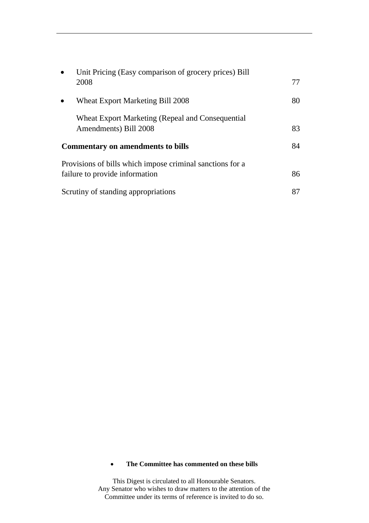| $\bullet$                                | Unit Pricing (Easy comparison of grocery prices) Bill<br>2008                               | 77 |
|------------------------------------------|---------------------------------------------------------------------------------------------|----|
|                                          | Wheat Export Marketing Bill 2008                                                            | 80 |
|                                          | Wheat Export Marketing (Repeal and Consequential<br>Amendments) Bill 2008                   | 83 |
| <b>Commentary on amendments to bills</b> |                                                                                             | 84 |
|                                          | Provisions of bills which impose criminal sanctions for a<br>failure to provide information | 86 |
|                                          | Scrutiny of standing appropriations                                                         | 87 |

#### • **The Committee has commented on these bills**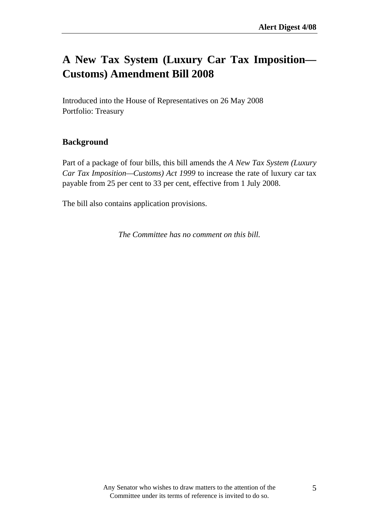### **A New Tax System (Luxury Car Tax Imposition— Customs) Amendment Bill 2008**

Introduced into the House of Representatives on 26 May 2008 Portfolio: Treasury

#### **Background**

Part of a package of four bills, this bill amends the *A New Tax System (Luxury Car Tax Imposition—Customs) Act 1999* to increase the rate of luxury car tax payable from 25 per cent to 33 per cent, effective from 1 July 2008.

The bill also contains application provisions.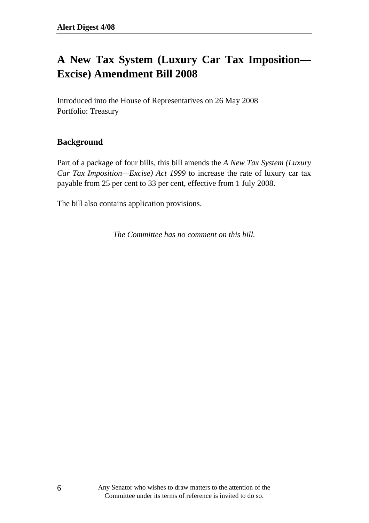## **A New Tax System (Luxury Car Tax Imposition— Excise) Amendment Bill 2008**

Introduced into the House of Representatives on 26 May 2008 Portfolio: Treasury

#### **Background**

Part of a package of four bills, this bill amends the *A New Tax System (Luxury Car Tax Imposition—Excise) Act 1999* to increase the rate of luxury car tax payable from 25 per cent to 33 per cent, effective from 1 July 2008.

The bill also contains application provisions.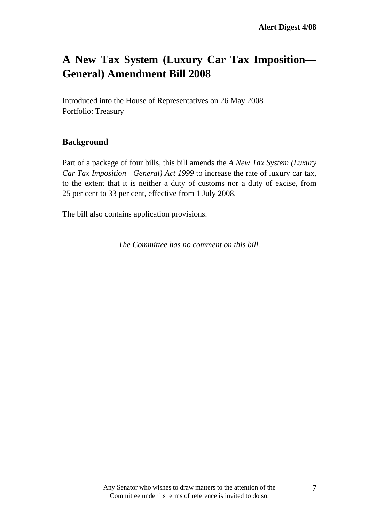### **A New Tax System (Luxury Car Tax Imposition— General) Amendment Bill 2008**

Introduced into the House of Representatives on 26 May 2008 Portfolio: Treasury

#### **Background**

Part of a package of four bills, this bill amends the *A New Tax System (Luxury Car Tax Imposition—General) Act 1999* to increase the rate of luxury car tax, to the extent that it is neither a duty of customs nor a duty of excise, from 25 per cent to 33 per cent, effective from 1 July 2008.

The bill also contains application provisions.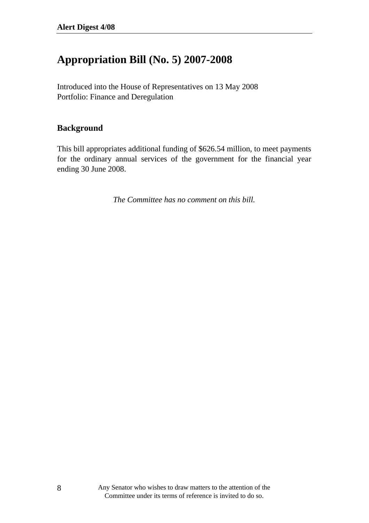### **Appropriation Bill (No. 5) 2007-2008**

Introduced into the House of Representatives on 13 May 2008 Portfolio: Finance and Deregulation

#### **Background**

This bill appropriates additional funding of \$626.54 million, to meet payments for the ordinary annual services of the government for the financial year ending 30 June 2008.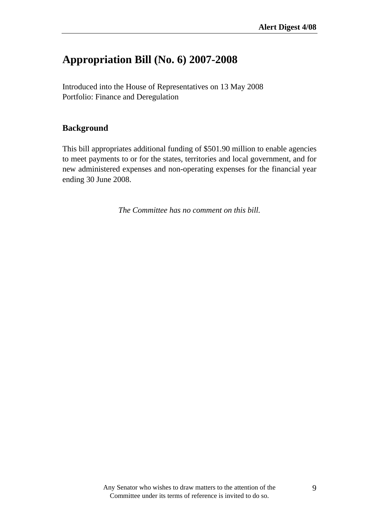### **Appropriation Bill (No. 6) 2007-2008**

Introduced into the House of Representatives on 13 May 2008 Portfolio: Finance and Deregulation

#### **Background**

This bill appropriates additional funding of \$501.90 million to enable agencies to meet payments to or for the states, territories and local government, and for new administered expenses and non-operating expenses for the financial year ending 30 June 2008.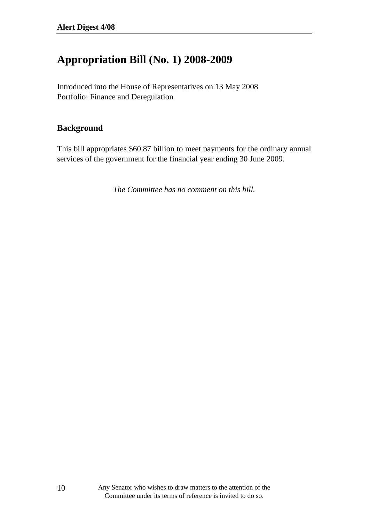### **Appropriation Bill (No. 1) 2008-2009**

Introduced into the House of Representatives on 13 May 2008 Portfolio: Finance and Deregulation

#### **Background**

This bill appropriates \$60.87 billion to meet payments for the ordinary annual services of the government for the financial year ending 30 June 2009.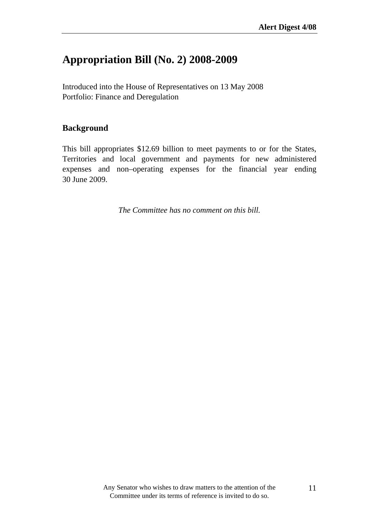### **Appropriation Bill (No. 2) 2008-2009**

Introduced into the House of Representatives on 13 May 2008 Portfolio: Finance and Deregulation

#### **Background**

This bill appropriates \$12.69 billion to meet payments to or for the States, Territories and local government and payments for new administered expenses and non–operating expenses for the financial year ending 30 June 2009.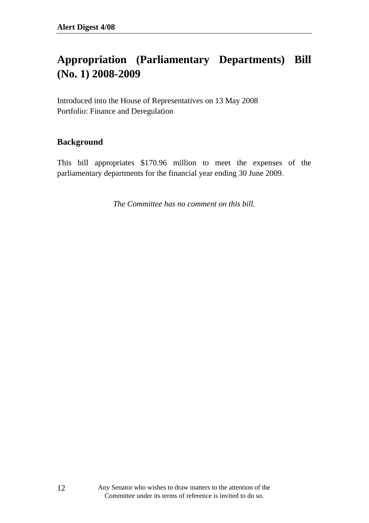## **Appropriation (Parliamentary Departments) Bill (No. 1) 2008-2009**

Introduced into the House of Representatives on 13 May 2008 Portfolio: Finance and Deregulation

#### **Background**

This bill appropriates \$170.96 million to meet the expenses of the parliamentary departments for the financial year ending 30 June 2009.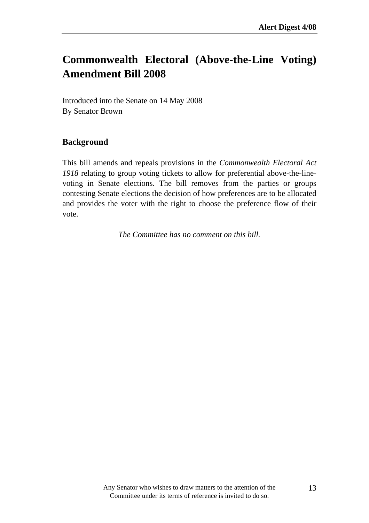## **Commonwealth Electoral (Above-the-Line Voting) Amendment Bill 2008**

Introduced into the Senate on 14 May 2008 By Senator Brown

#### **Background**

This bill amends and repeals provisions in the *Commonwealth Electoral Act 1918* relating to group voting tickets to allow for preferential above-the-linevoting in Senate elections. The bill removes from the parties or groups contesting Senate elections the decision of how preferences are to be allocated and provides the voter with the right to choose the preference flow of their vote.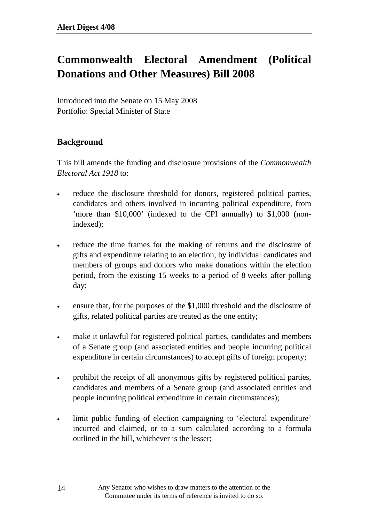# **Commonwealth Electoral Amendment (Political Donations and Other Measures) Bill 2008**

Introduced into the Senate on 15 May 2008 Portfolio: Special Minister of State

#### **Background**

This bill amends the funding and disclosure provisions of the *Commonwealth Electoral Act 1918* to:

- reduce the disclosure threshold for donors, registered political parties, candidates and others involved in incurring political expenditure, from 'more than \$10,000' (indexed to the CPI annually) to \$1,000 (nonindexed);
- reduce the time frames for the making of returns and the disclosure of gifts and expenditure relating to an election, by individual candidates and members of groups and donors who make donations within the election period, from the existing 15 weeks to a period of 8 weeks after polling day;
- ensure that, for the purposes of the \$1,000 threshold and the disclosure of gifts, related political parties are treated as the one entity;
- make it unlawful for registered political parties, candidates and members of a Senate group (and associated entities and people incurring political expenditure in certain circumstances) to accept gifts of foreign property;
- prohibit the receipt of all anonymous gifts by registered political parties, candidates and members of a Senate group (and associated entities and people incurring political expenditure in certain circumstances);
- limit public funding of election campaigning to 'electoral expenditure' incurred and claimed, or to a sum calculated according to a formula outlined in the bill, whichever is the lesser;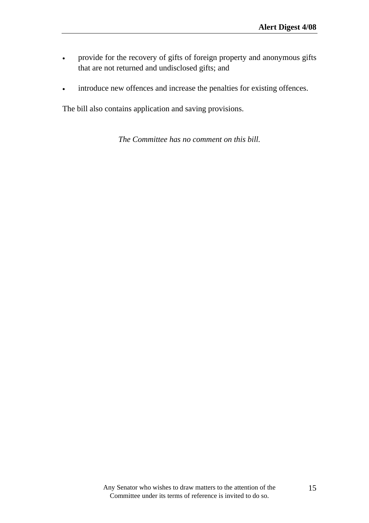- provide for the recovery of gifts of foreign property and anonymous gifts that are not returned and undisclosed gifts; and
- introduce new offences and increase the penalties for existing offences.

The bill also contains application and saving provisions.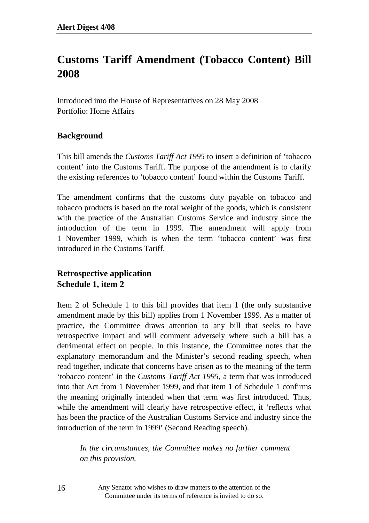## **Customs Tariff Amendment (Tobacco Content) Bill 2008**

Introduced into the House of Representatives on 28 May 2008 Portfolio: Home Affairs

#### **Background**

This bill amends the *Customs Tariff Act 1995* to insert a definition of 'tobacco content' into the Customs Tariff. The purpose of the amendment is to clarify the existing references to 'tobacco content' found within the Customs Tariff.

The amendment confirms that the customs duty payable on tobacco and tobacco products is based on the total weight of the goods, which is consistent with the practice of the Australian Customs Service and industry since the introduction of the term in 1999. The amendment will apply from 1 November 1999, which is when the term 'tobacco content' was first introduced in the Customs Tariff.

### **Retrospective application Schedule 1, item 2**

Item 2 of Schedule 1 to this bill provides that item 1 (the only substantive amendment made by this bill) applies from 1 November 1999. As a matter of practice, the Committee draws attention to any bill that seeks to have retrospective impact and will comment adversely where such a bill has a detrimental effect on people. In this instance, the Committee notes that the explanatory memorandum and the Minister's second reading speech, when read together, indicate that concerns have arisen as to the meaning of the term 'tobacco content' in the *Customs Tariff Act 1995*, a term that was introduced into that Act from 1 November 1999, and that item 1 of Schedule 1 confirms the meaning originally intended when that term was first introduced. Thus, while the amendment will clearly have retrospective effect, it 'reflects what has been the practice of the Australian Customs Service and industry since the introduction of the term in 1999' (Second Reading speech).

*In the circumstances, the Committee makes no further comment on this provision.* 

Any Senator who wishes to draw matters to the attention of the Committee under its terms of reference is invited to do so.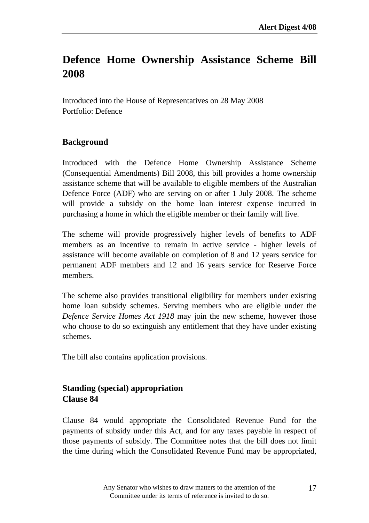## **Defence Home Ownership Assistance Scheme Bill 2008**

Introduced into the House of Representatives on 28 May 2008 Portfolio: Defence

#### **Background**

Introduced with the Defence Home Ownership Assistance Scheme (Consequential Amendments) Bill 2008, this bill provides a home ownership assistance scheme that will be available to eligible members of the Australian Defence Force (ADF) who are serving on or after 1 July 2008. The scheme will provide a subsidy on the home loan interest expense incurred in purchasing a home in which the eligible member or their family will live.

The scheme will provide progressively higher levels of benefits to ADF members as an incentive to remain in active service - higher levels of assistance will become available on completion of 8 and 12 years service for permanent ADF members and 12 and 16 years service for Reserve Force members.

The scheme also provides transitional eligibility for members under existing home loan subsidy schemes. Serving members who are eligible under the *Defence Service Homes Act 1918* may join the new scheme, however those who choose to do so extinguish any entitlement that they have under existing schemes.

The bill also contains application provisions.

#### **Standing (special) appropriation Clause 84**

Clause 84 would appropriate the Consolidated Revenue Fund for the payments of subsidy under this Act, and for any taxes payable in respect of those payments of subsidy. The Committee notes that the bill does not limit the time during which the Consolidated Revenue Fund may be appropriated,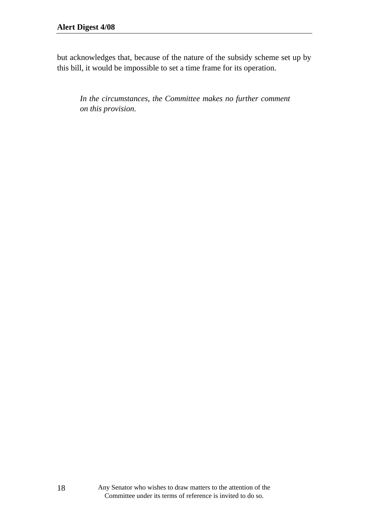but acknowledges that, because of the nature of the subsidy scheme set up by this bill, it would be impossible to set a time frame for its operation.

*In the circumstances, the Committee makes no further comment on this provision.*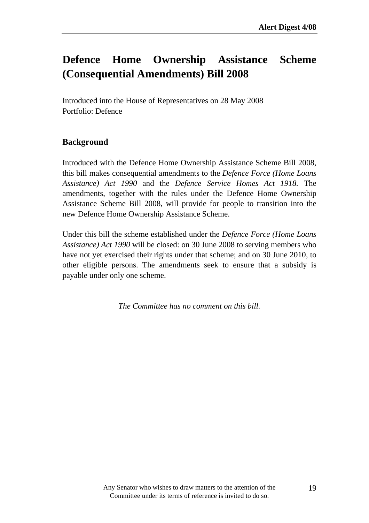## **Defence Home Ownership Assistance Scheme (Consequential Amendments) Bill 2008**

Introduced into the House of Representatives on 28 May 2008 Portfolio: Defence

#### **Background**

Introduced with the Defence Home Ownership Assistance Scheme Bill 2008, this bill makes consequential amendments to the *Defence Force (Home Loans Assistance) Act 1990* and the *Defence Service Homes Act 1918.* The amendments, together with the rules under the Defence Home Ownership Assistance Scheme Bill 2008, will provide for people to transition into the new Defence Home Ownership Assistance Scheme.

Under this bill the scheme established under the *Defence Force (Home Loans Assistance) Act 1990* will be closed: on 30 June 2008 to serving members who have not yet exercised their rights under that scheme; and on 30 June 2010, to other eligible persons. The amendments seek to ensure that a subsidy is payable under only one scheme.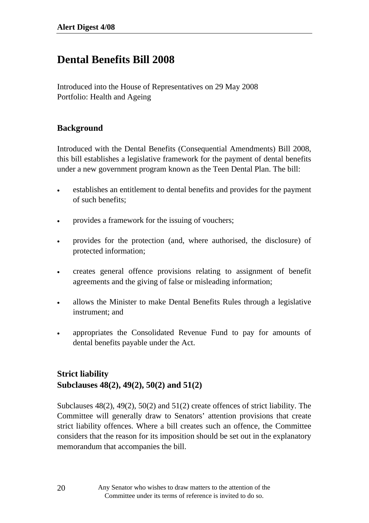### **Dental Benefits Bill 2008**

Introduced into the House of Representatives on 29 May 2008 Portfolio: Health and Ageing

#### **Background**

Introduced with the Dental Benefits (Consequential Amendments) Bill 2008, this bill establishes a legislative framework for the payment of dental benefits under a new government program known as the Teen Dental Plan. The bill:

- establishes an entitlement to dental benefits and provides for the payment of such benefits;
- provides a framework for the issuing of vouchers;
- provides for the protection (and, where authorised, the disclosure) of protected information;
- creates general offence provisions relating to assignment of benefit agreements and the giving of false or misleading information;
- allows the Minister to make Dental Benefits Rules through a legislative instrument; and
- appropriates the Consolidated Revenue Fund to pay for amounts of dental benefits payable under the Act.

### **Strict liability Subclauses 48(2), 49(2), 50(2) and 51(2)**

Subclauses 48(2), 49(2), 50(2) and 51(2) create offences of strict liability. The Committee will generally draw to Senators' attention provisions that create strict liability offences. Where a bill creates such an offence, the Committee considers that the reason for its imposition should be set out in the explanatory memorandum that accompanies the bill.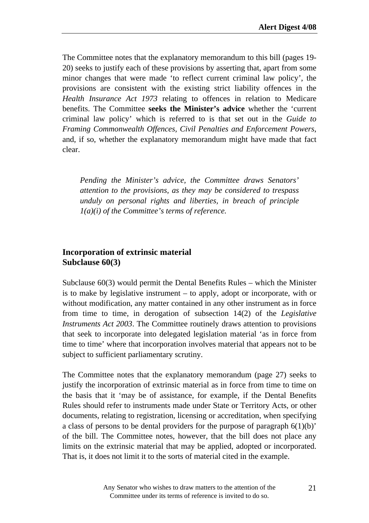The Committee notes that the explanatory memorandum to this bill (pages 19- 20) seeks to justify each of these provisions by asserting that, apart from some minor changes that were made 'to reflect current criminal law policy', the provisions are consistent with the existing strict liability offences in the *Health Insurance Act 1973* relating to offences in relation to Medicare benefits. The Committee **seeks the Minister's advice** whether the 'current criminal law policy' which is referred to is that set out in the *Guide to Framing Commonwealth Offences, Civil Penalties and Enforcement Powers*, and, if so, whether the explanatory memorandum might have made that fact clear.

*Pending the Minister's advice, the Committee draws Senators' attention to the provisions, as they may be considered to trespass unduly on personal rights and liberties, in breach of principle 1(a)(i) of the Committee's terms of reference.*

#### **Incorporation of extrinsic material Subclause 60(3)**

Subclause 60(3) would permit the Dental Benefits Rules – which the Minister is to make by legislative instrument – to apply, adopt or incorporate, with or without modification, any matter contained in any other instrument as in force from time to time, in derogation of subsection 14(2) of the *Legislative Instruments Act 2003*. The Committee routinely draws attention to provisions that seek to incorporate into delegated legislation material 'as in force from time to time' where that incorporation involves material that appears not to be subject to sufficient parliamentary scrutiny.

The Committee notes that the explanatory memorandum (page 27) seeks to justify the incorporation of extrinsic material as in force from time to time on the basis that it 'may be of assistance, for example, if the Dental Benefits Rules should refer to instruments made under State or Territory Acts, or other documents, relating to registration, licensing or accreditation, when specifying a class of persons to be dental providers for the purpose of paragraph  $6(1)(b)$ ' of the bill. The Committee notes, however, that the bill does not place any limits on the extrinsic material that may be applied, adopted or incorporated. That is, it does not limit it to the sorts of material cited in the example.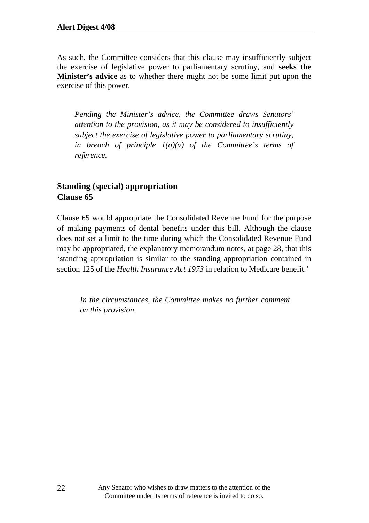As such, the Committee considers that this clause may insufficiently subject the exercise of legislative power to parliamentary scrutiny, and **seeks the Minister's advice** as to whether there might not be some limit put upon the exercise of this power.

*Pending the Minister's advice, the Committee draws Senators' attention to the provision, as it may be considered to insufficiently subject the exercise of legislative power to parliamentary scrutiny,*  in breach of principle  $I(a)(v)$  of the Committee's terms of *reference.* 

#### **Standing (special) appropriation Clause 65**

Clause 65 would appropriate the Consolidated Revenue Fund for the purpose of making payments of dental benefits under this bill. Although the clause does not set a limit to the time during which the Consolidated Revenue Fund may be appropriated, the explanatory memorandum notes, at page 28, that this 'standing appropriation is similar to the standing appropriation contained in section 125 of the *Health Insurance Act 1973* in relation to Medicare benefit.'

*In the circumstances, the Committee makes no further comment on this provision.*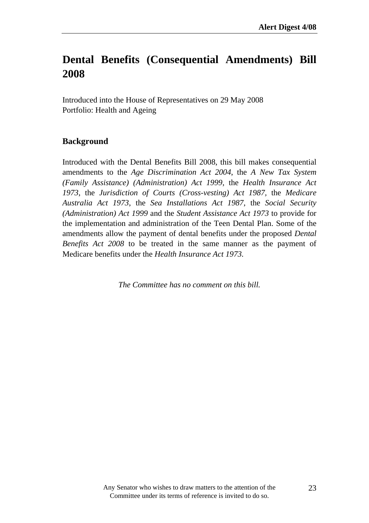### **Dental Benefits (Consequential Amendments) Bill 2008**

Introduced into the House of Representatives on 29 May 2008 Portfolio: Health and Ageing

#### **Background**

Introduced with the Dental Benefits Bill 2008, this bill makes consequential amendments to the *Age Discrimination Act 2004*, the *A New Tax System (Family Assistance) (Administration) Act 1999*, the *Health Insurance Act 1973*, the *Jurisdiction of Courts (Cross-vesting) Act 1987,* the *Medicare Australia Act 1973*, the *Sea Installations Act 1987*, the *Social Security (Administration) Act 1999* and the *Student Assistance Act 1973* to provide for the implementation and administration of the Teen Dental Plan. Some of the amendments allow the payment of dental benefits under the proposed *Dental Benefits Act 2008* to be treated in the same manner as the payment of Medicare benefits under the *Health Insurance Act 1973.*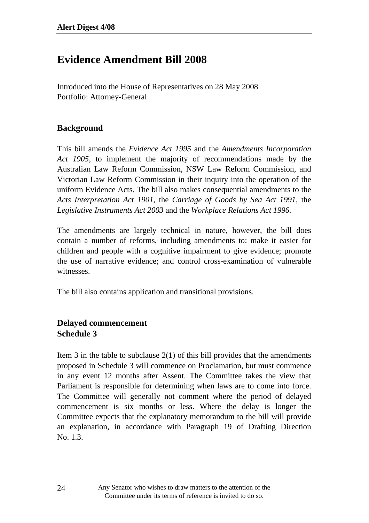### **Evidence Amendment Bill 2008**

Introduced into the House of Representatives on 28 May 2008 Portfolio: Attorney-General

#### **Background**

This bill amends the *Evidence Act 1995* and the *Amendments Incorporation Act 1905*, to implement the majority of recommendations made by the Australian Law Reform Commission, NSW Law Reform Commission, and Victorian Law Reform Commission in their inquiry into the operation of the uniform Evidence Acts. The bill also makes consequential amendments to the *Acts Interpretation Act 1901*, the *Carriage of Goods by Sea Act 1991*, the *Legislative Instruments Act 2003* and the *Workplace Relations Act 1996.* 

The amendments are largely technical in nature, however, the bill does contain a number of reforms, including amendments to: make it easier for children and people with a cognitive impairment to give evidence; promote the use of narrative evidence; and control cross-examination of vulnerable witnesses.

The bill also contains application and transitional provisions.

### **Delayed commencement Schedule 3**

Item 3 in the table to subclause  $2(1)$  of this bill provides that the amendments proposed in Schedule 3 will commence on Proclamation, but must commence in any event 12 months after Assent. The Committee takes the view that Parliament is responsible for determining when laws are to come into force. The Committee will generally not comment where the period of delayed commencement is six months or less. Where the delay is longer the Committee expects that the explanatory memorandum to the bill will provide an explanation, in accordance with Paragraph 19 of Drafting Direction No. 1.3.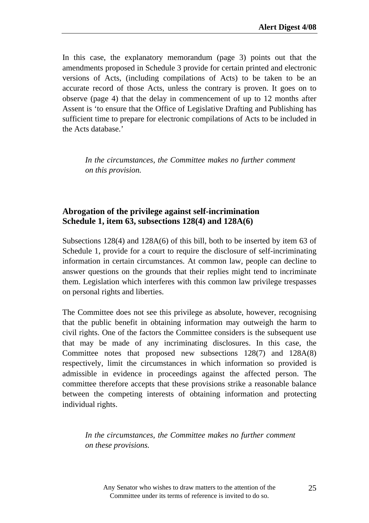In this case, the explanatory memorandum (page 3) points out that the amendments proposed in Schedule 3 provide for certain printed and electronic versions of Acts, (including compilations of Acts) to be taken to be an accurate record of those Acts, unless the contrary is proven. It goes on to observe (page 4) that the delay in commencement of up to 12 months after Assent is 'to ensure that the Office of Legislative Drafting and Publishing has sufficient time to prepare for electronic compilations of Acts to be included in the Acts database.'

*In the circumstances, the Committee makes no further comment on this provision.* 

#### **Abrogation of the privilege against self-incrimination Schedule 1, item 63, subsections 128(4) and 128A(6)**

Subsections 128(4) and 128A(6) of this bill, both to be inserted by item 63 of Schedule 1, provide for a court to require the disclosure of self-incriminating information in certain circumstances. At common law, people can decline to answer questions on the grounds that their replies might tend to incriminate them. Legislation which interferes with this common law privilege trespasses on personal rights and liberties.

The Committee does not see this privilege as absolute, however, recognising that the public benefit in obtaining information may outweigh the harm to civil rights. One of the factors the Committee considers is the subsequent use that may be made of any incriminating disclosures. In this case, the Committee notes that proposed new subsections 128(7) and 128A(8) respectively, limit the circumstances in which information so provided is admissible in evidence in proceedings against the affected person. The committee therefore accepts that these provisions strike a reasonable balance between the competing interests of obtaining information and protecting individual rights.

*In the circumstances, the Committee makes no further comment on these provisions.*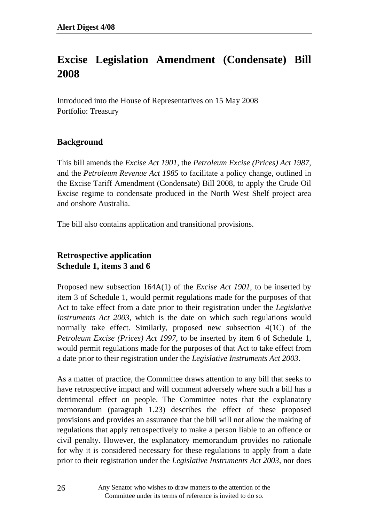## **Excise Legislation Amendment (Condensate) Bill 2008**

Introduced into the House of Representatives on 15 May 2008 Portfolio: Treasury

#### **Background**

This bill amends the *Excise Act 1901*, the *Petroleum Excise (Prices) Act 1987,* and the *Petroleum Revenue Act 1985* to facilitate a policy change, outlined in the Excise Tariff Amendment (Condensate) Bill 2008, to apply the Crude Oil Excise regime to condensate produced in the North West Shelf project area and onshore Australia.

The bill also contains application and transitional provisions.

### **Retrospective application Schedule 1, items 3 and 6**

Proposed new subsection 164A(1) of the *Excise Act 1901*, to be inserted by item 3 of Schedule 1, would permit regulations made for the purposes of that Act to take effect from a date prior to their registration under the *Legislative Instruments Act 2003,* which is the date on which such regulations would normally take effect. Similarly, proposed new subsection 4(1C) of the *Petroleum Excise (Prices) Act 1997*, to be inserted by item 6 of Schedule 1, would permit regulations made for the purposes of that Act to take effect from a date prior to their registration under the *Legislative Instruments Act 2003*.

As a matter of practice, the Committee draws attention to any bill that seeks to have retrospective impact and will comment adversely where such a bill has a detrimental effect on people. The Committee notes that the explanatory memorandum (paragraph 1.23) describes the effect of these proposed provisions and provides an assurance that the bill will not allow the making of regulations that apply retrospectively to make a person liable to an offence or civil penalty. However, the explanatory memorandum provides no rationale for why it is considered necessary for these regulations to apply from a date prior to their registration under the *Legislative Instruments Act 2003*, nor does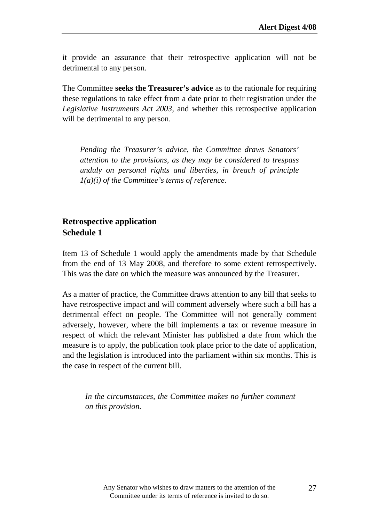it provide an assurance that their retrospective application will not be detrimental to any person.

The Committee **seeks the Treasurer's advice** as to the rationale for requiring these regulations to take effect from a date prior to their registration under the *Legislative Instruments Act 2003,* and whether this retrospective application will be detrimental to any person.

*Pending the Treasurer's advice, the Committee draws Senators' attention to the provisions, as they may be considered to trespass unduly on personal rights and liberties, in breach of principle 1(a)(i) of the Committee's terms of reference.*

#### **Retrospective application Schedule 1**

Item 13 of Schedule 1 would apply the amendments made by that Schedule from the end of 13 May 2008, and therefore to some extent retrospectively. This was the date on which the measure was announced by the Treasurer.

As a matter of practice, the Committee draws attention to any bill that seeks to have retrospective impact and will comment adversely where such a bill has a detrimental effect on people. The Committee will not generally comment adversely, however, where the bill implements a tax or revenue measure in respect of which the relevant Minister has published a date from which the measure is to apply, the publication took place prior to the date of application, and the legislation is introduced into the parliament within six months. This is the case in respect of the current bill.

*In the circumstances, the Committee makes no further comment on this provision.*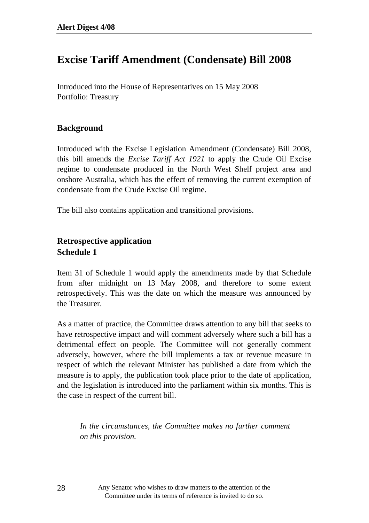### **Excise Tariff Amendment (Condensate) Bill 2008**

Introduced into the House of Representatives on 15 May 2008 Portfolio: Treasury

#### **Background**

Introduced with the Excise Legislation Amendment (Condensate) Bill 2008, this bill amends the *Excise Tariff Act 1921* to apply the Crude Oil Excise regime to condensate produced in the North West Shelf project area and onshore Australia, which has the effect of removing the current exemption of condensate from the Crude Excise Oil regime.

The bill also contains application and transitional provisions.

### **Retrospective application Schedule 1**

Item 31 of Schedule 1 would apply the amendments made by that Schedule from after midnight on 13 May 2008, and therefore to some extent retrospectively. This was the date on which the measure was announced by the Treasurer.

As a matter of practice, the Committee draws attention to any bill that seeks to have retrospective impact and will comment adversely where such a bill has a detrimental effect on people. The Committee will not generally comment adversely, however, where the bill implements a tax or revenue measure in respect of which the relevant Minister has published a date from which the measure is to apply, the publication took place prior to the date of application, and the legislation is introduced into the parliament within six months. This is the case in respect of the current bill.

*In the circumstances, the Committee makes no further comment on this provision.* 

Any Senator who wishes to draw matters to the attention of the Committee under its terms of reference is invited to do so.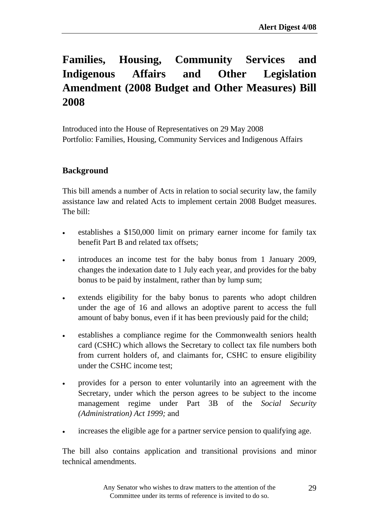# **Families, Housing, Community Services and Indigenous Affairs and Other Legislation Amendment (2008 Budget and Other Measures) Bill 2008**

Introduced into the House of Representatives on 29 May 2008 Portfolio: Families, Housing, Community Services and Indigenous Affairs

#### **Background**

This bill amends a number of Acts in relation to social security law, the family assistance law and related Acts to implement certain 2008 Budget measures. The bill:

- establishes a \$150,000 limit on primary earner income for family tax benefit Part B and related tax offsets;
- introduces an income test for the baby bonus from 1 January 2009, changes the indexation date to 1 July each year, and provides for the baby bonus to be paid by instalment, rather than by lump sum;
- extends eligibility for the baby bonus to parents who adopt children under the age of 16 and allows an adoptive parent to access the full amount of baby bonus, even if it has been previously paid for the child;
- establishes a compliance regime for the Commonwealth seniors health card (CSHC) which allows the Secretary to collect tax file numbers both from current holders of, and claimants for, CSHC to ensure eligibility under the CSHC income test;
- provides for a person to enter voluntarily into an agreement with the Secretary, under which the person agrees to be subject to the income management regime under Part 3B of the *Social Security (Administration) Act 1999;* and
- increases the eligible age for a partner service pension to qualifying age.

The bill also contains application and transitional provisions and minor technical amendments.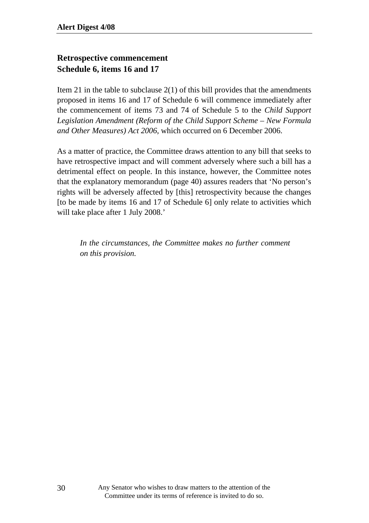#### **Retrospective commencement Schedule 6, items 16 and 17**

Item 21 in the table to subclause  $2(1)$  of this bill provides that the amendments proposed in items 16 and 17 of Schedule 6 will commence immediately after the commencement of items 73 and 74 of Schedule 5 to the *Child Support Legislation Amendment (Reform of the Child Support Scheme – New Formula and Other Measures) Act 2006*, which occurred on 6 December 2006.

As a matter of practice, the Committee draws attention to any bill that seeks to have retrospective impact and will comment adversely where such a bill has a detrimental effect on people. In this instance, however, the Committee notes that the explanatory memorandum (page 40) assures readers that 'No person's rights will be adversely affected by [this] retrospectivity because the changes [to be made by items 16 and 17 of Schedule 6] only relate to activities which will take place after 1 July 2008.'

*In the circumstances, the Committee makes no further comment on this provision.*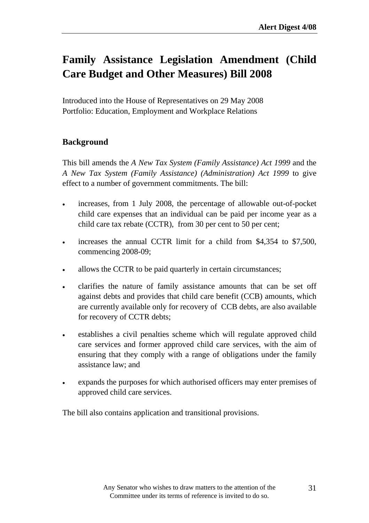# **Family Assistance Legislation Amendment (Child Care Budget and Other Measures) Bill 2008**

Introduced into the House of Representatives on 29 May 2008 Portfolio: Education, Employment and Workplace Relations

#### **Background**

This bill amends the *A New Tax System (Family Assistance) Act 1999* and the *A New Tax System (Family Assistance) (Administration) Act 1999* to give effect to a number of government commitments. The bill:

- increases, from 1 July 2008, the percentage of allowable out-of-pocket child care expenses that an individual can be paid per income year as a child care tax rebate (CCTR), from 30 per cent to 50 per cent;
- increases the annual CCTR limit for a child from \$4,354 to \$7,500, commencing 2008-09;
- allows the CCTR to be paid quarterly in certain circumstances;
- clarifies the nature of family assistance amounts that can be set off against debts and provides that child care benefit (CCB) amounts, which are currently available only for recovery of CCB debts, are also available for recovery of CCTR debts;
- establishes a civil penalties scheme which will regulate approved child care services and former approved child care services, with the aim of ensuring that they comply with a range of obligations under the family assistance law; and
- expands the purposes for which authorised officers may enter premises of approved child care services.

The bill also contains application and transitional provisions.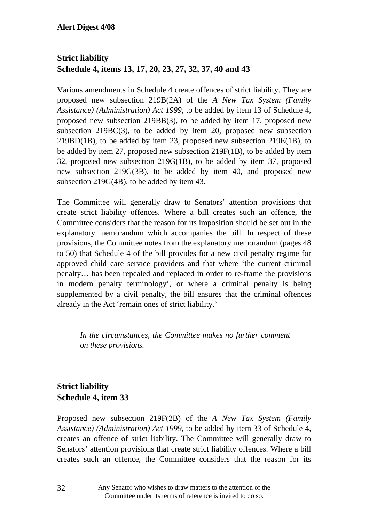### **Strict liability Schedule 4, items 13, 17, 20, 23, 27, 32, 37, 40 and 43**

Various amendments in Schedule 4 create offences of strict liability. They are proposed new subsection 219B(2A) of the *A New Tax System (Family Assistance) (Administration) Act 1999*, to be added by item 13 of Schedule 4, proposed new subsection 219BB(3), to be added by item 17, proposed new subsection 219BC(3), to be added by item 20, proposed new subsection 219BD(1B), to be added by item 23, proposed new subsection 219E(1B), to be added by item 27, proposed new subsection 219F(1B), to be added by item 32, proposed new subsection 219G(1B), to be added by item 37, proposed new subsection 219G(3B), to be added by item 40, and proposed new subsection 219G(4B), to be added by item 43.

The Committee will generally draw to Senators' attention provisions that create strict liability offences. Where a bill creates such an offence, the Committee considers that the reason for its imposition should be set out in the explanatory memorandum which accompanies the bill. In respect of these provisions, the Committee notes from the explanatory memorandum (pages 48 to 50) that Schedule 4 of the bill provides for a new civil penalty regime for approved child care service providers and that where 'the current criminal penalty… has been repealed and replaced in order to re-frame the provisions in modern penalty terminology', or where a criminal penalty is being supplemented by a civil penalty, the bill ensures that the criminal offences already in the Act 'remain ones of strict liability.'

*In the circumstances, the Committee makes no further comment on these provisions.* 

### **Strict liability Schedule 4, item 33**

Proposed new subsection 219F(2B) of the *A New Tax System (Family Assistance) (Administration) Act 1999*, to be added by item 33 of Schedule 4, creates an offence of strict liability. The Committee will generally draw to Senators' attention provisions that create strict liability offences. Where a bill creates such an offence, the Committee considers that the reason for its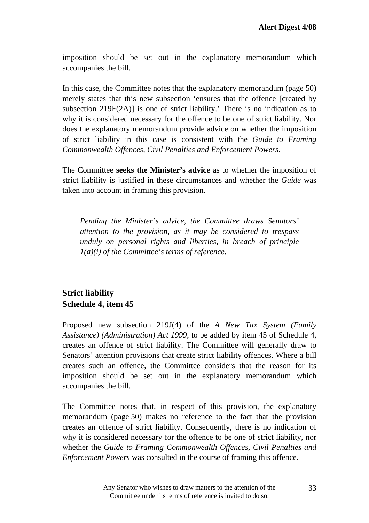imposition should be set out in the explanatory memorandum which accompanies the bill.

In this case, the Committee notes that the explanatory memorandum (page 50) merely states that this new subsection 'ensures that the offence [created by subsection 219F(2A)] is one of strict liability.' There is no indication as to why it is considered necessary for the offence to be one of strict liability. Nor does the explanatory memorandum provide advice on whether the imposition of strict liability in this case is consistent with the *Guide to Framing Commonwealth Offences, Civil Penalties and Enforcement Powers*.

The Committee **seeks the Minister's advice** as to whether the imposition of strict liability is justified in these circumstances and whether the *Guide* was taken into account in framing this provision.

*Pending the Minister's advice, the Committee draws Senators' attention to the provision, as it may be considered to trespass unduly on personal rights and liberties, in breach of principle 1(a)(i) of the Committee's terms of reference.*

### **Strict liability Schedule 4, item 45**

Proposed new subsection 219J(4) of the *A New Tax System (Family Assistance) (Administration) Act 1999*, to be added by item 45 of Schedule 4, creates an offence of strict liability. The Committee will generally draw to Senators' attention provisions that create strict liability offences. Where a bill creates such an offence, the Committee considers that the reason for its imposition should be set out in the explanatory memorandum which accompanies the bill.

The Committee notes that, in respect of this provision, the explanatory memorandum (page 50) makes no reference to the fact that the provision creates an offence of strict liability. Consequently, there is no indication of why it is considered necessary for the offence to be one of strict liability, nor whether the *Guide to Framing Commonwealth Offences, Civil Penalties and Enforcement Powers* was consulted in the course of framing this offence.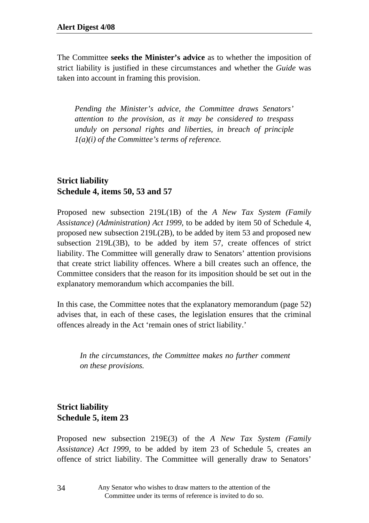The Committee **seeks the Minister's advice** as to whether the imposition of strict liability is justified in these circumstances and whether the *Guide* was taken into account in framing this provision.

*Pending the Minister's advice, the Committee draws Senators' attention to the provision, as it may be considered to trespass unduly on personal rights and liberties, in breach of principle 1(a)(i) of the Committee's terms of reference.*

### **Strict liability Schedule 4, items 50, 53 and 57**

Proposed new subsection 219L(1B) of the *A New Tax System (Family Assistance) (Administration) Act 1999*, to be added by item 50 of Schedule 4, proposed new subsection 219L(2B), to be added by item 53 and proposed new subsection 219L(3B), to be added by item 57, create offences of strict liability. The Committee will generally draw to Senators' attention provisions that create strict liability offences. Where a bill creates such an offence, the Committee considers that the reason for its imposition should be set out in the explanatory memorandum which accompanies the bill.

In this case, the Committee notes that the explanatory memorandum (page 52) advises that, in each of these cases, the legislation ensures that the criminal offences already in the Act 'remain ones of strict liability.'

*In the circumstances, the Committee makes no further comment on these provisions.* 

### **Strict liability Schedule 5, item 23**

Proposed new subsection 219E(3) of the *A New Tax System (Family Assistance) Act 1999*, to be added by item 23 of Schedule 5, creates an offence of strict liability. The Committee will generally draw to Senators'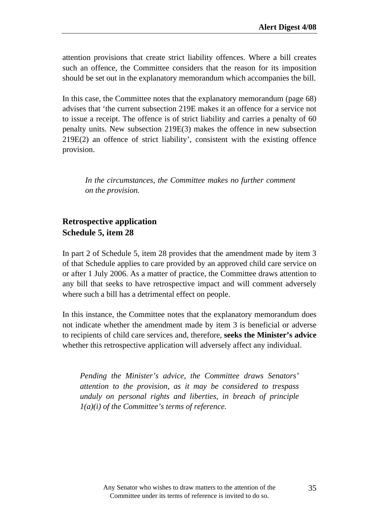attention provisions that create strict liability offences. Where a bill creates such an offence, the Committee considers that the reason for its imposition should be set out in the explanatory memorandum which accompanies the bill.

In this case, the Committee notes that the explanatory memorandum (page 68) advises that 'the current subsection 219E makes it an offence for a service not to issue a receipt. The offence is of strict liability and carries a penalty of 60 penalty units. New subsection 219E(3) makes the offence in new subsection 219E(2) an offence of strict liability', consistent with the existing offence provision.

*In the circumstances, the Committee makes no further comment on the provision.* 

#### **Retrospective application Schedule 5, item 28**

In part 2 of Schedule 5, item 28 provides that the amendment made by item 3 of that Schedule applies to care provided by an approved child care service on or after 1 July 2006. As a matter of practice, the Committee draws attention to any bill that seeks to have retrospective impact and will comment adversely where such a bill has a detrimental effect on people.

In this instance, the Committee notes that the explanatory memorandum does not indicate whether the amendment made by item 3 is beneficial or adverse to recipients of child care services and, therefore, **seeks the Minister's advice** whether this retrospective application will adversely affect any individual.

*Pending the Minister's advice, the Committee draws Senators' attention to the provision, as it may be considered to trespass unduly on personal rights and liberties, in breach of principle 1(a)(i) of the Committee's terms of reference.*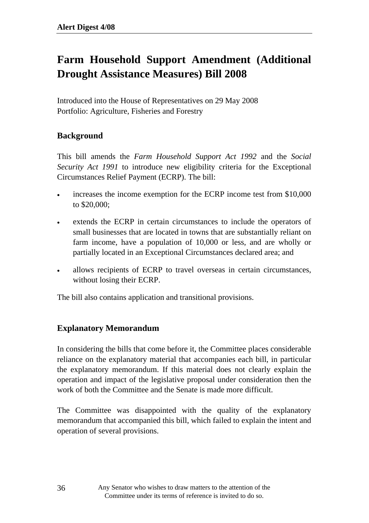# **Farm Household Support Amendment (Additional Drought Assistance Measures) Bill 2008**

Introduced into the House of Representatives on 29 May 2008 Portfolio: Agriculture, Fisheries and Forestry

#### **Background**

This bill amends the *Farm Household Support Act 1992* and the *Social Security Act 1991* to introduce new eligibility criteria for the Exceptional Circumstances Relief Payment (ECRP). The bill:

- increases the income exemption for the ECRP income test from \$10,000 to \$20,000;
- extends the ECRP in certain circumstances to include the operators of small businesses that are located in towns that are substantially reliant on farm income, have a population of 10,000 or less, and are wholly or partially located in an Exceptional Circumstances declared area; and
- allows recipients of ECRP to travel overseas in certain circumstances, without losing their ECRP.

The bill also contains application and transitional provisions.

#### **Explanatory Memorandum**

In considering the bills that come before it, the Committee places considerable reliance on the explanatory material that accompanies each bill, in particular the explanatory memorandum. If this material does not clearly explain the operation and impact of the legislative proposal under consideration then the work of both the Committee and the Senate is made more difficult.

The Committee was disappointed with the quality of the explanatory memorandum that accompanied this bill, which failed to explain the intent and operation of several provisions.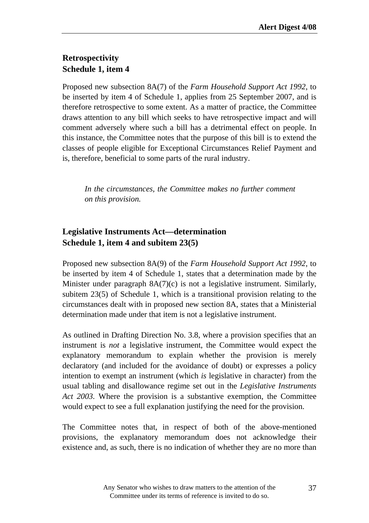### **Retrospectivity Schedule 1, item 4**

Proposed new subsection 8A(7) of the *Farm Household Support Act 1992*, to be inserted by item 4 of Schedule 1, applies from 25 September 2007, and is therefore retrospective to some extent. As a matter of practice, the Committee draws attention to any bill which seeks to have retrospective impact and will comment adversely where such a bill has a detrimental effect on people. In this instance, the Committee notes that the purpose of this bill is to extend the classes of people eligible for Exceptional Circumstances Relief Payment and is, therefore, beneficial to some parts of the rural industry.

*In the circumstances, the Committee makes no further comment on this provision.* 

#### **Legislative Instruments Act—determination Schedule 1, item 4 and subitem 23(5)**

Proposed new subsection 8A(9) of the *Farm Household Support Act 1992*, to be inserted by item 4 of Schedule 1, states that a determination made by the Minister under paragraph  $8A(7)(c)$  is not a legislative instrument. Similarly, subitem 23(5) of Schedule 1, which is a transitional provision relating to the circumstances dealt with in proposed new section 8A, states that a Ministerial determination made under that item is not a legislative instrument.

As outlined in Drafting Direction No. 3.8, where a provision specifies that an instrument is *not* a legislative instrument, the Committee would expect the explanatory memorandum to explain whether the provision is merely declaratory (and included for the avoidance of doubt) or expresses a policy intention to exempt an instrument (which *is* legislative in character) from the usual tabling and disallowance regime set out in the *Legislative Instruments Act 2003.* Where the provision is a substantive exemption, the Committee would expect to see a full explanation justifying the need for the provision.

The Committee notes that, in respect of both of the above-mentioned provisions, the explanatory memorandum does not acknowledge their existence and, as such, there is no indication of whether they are no more than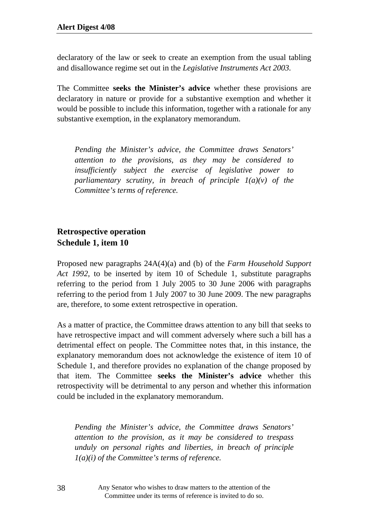declaratory of the law or seek to create an exemption from the usual tabling and disallowance regime set out in the *Legislative Instruments Act 2003.* 

The Committee **seeks the Minister's advice** whether these provisions are declaratory in nature or provide for a substantive exemption and whether it would be possible to include this information, together with a rationale for any substantive exemption, in the explanatory memorandum.

*Pending the Minister's advice, the Committee draws Senators' attention to the provisions, as they may be considered to insufficiently subject the exercise of legislative power to parliamentary scrutiny, in breach of principle 1(a)(v) of the Committee's terms of reference.* 

#### **Retrospective operation Schedule 1, item 10**

Proposed new paragraphs 24A(4)(a) and (b) of the *Farm Household Support Act 1992*, to be inserted by item 10 of Schedule 1, substitute paragraphs referring to the period from 1 July 2005 to 30 June 2006 with paragraphs referring to the period from 1 July 2007 to 30 June 2009. The new paragraphs are, therefore, to some extent retrospective in operation.

As a matter of practice, the Committee draws attention to any bill that seeks to have retrospective impact and will comment adversely where such a bill has a detrimental effect on people. The Committee notes that, in this instance, the explanatory memorandum does not acknowledge the existence of item 10 of Schedule 1, and therefore provides no explanation of the change proposed by that item. The Committee **seeks the Minister's advice** whether this retrospectivity will be detrimental to any person and whether this information could be included in the explanatory memorandum.

*Pending the Minister's advice, the Committee draws Senators' attention to the provision, as it may be considered to trespass unduly on personal rights and liberties, in breach of principle 1(a)(i) of the Committee's terms of reference.*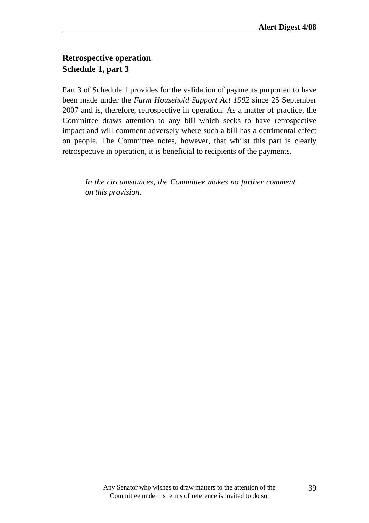### **Retrospective operation Schedule 1, part 3**

Part 3 of Schedule 1 provides for the validation of payments purported to have been made under the *Farm Household Support Act 1992* since 25 September 2007 and is, therefore, retrospective in operation. As a matter of practice, the Committee draws attention to any bill which seeks to have retrospective impact and will comment adversely where such a bill has a detrimental effect on people. The Committee notes, however, that whilst this part is clearly retrospective in operation, it is beneficial to recipients of the payments.

*In the circumstances, the Committee makes no further comment on this provision.*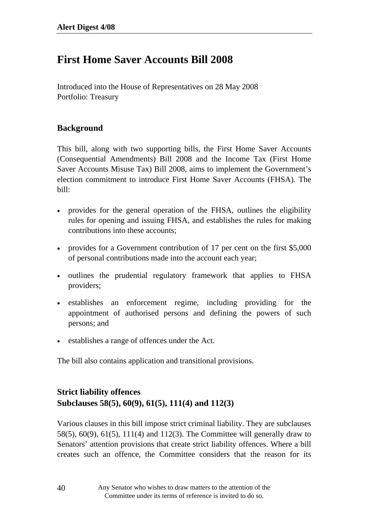## **First Home Saver Accounts Bill 2008**

Introduced into the House of Representatives on 28 May 2008 Portfolio: Treasury

#### **Background**

This bill, along with two supporting bills, the First Home Saver Accounts (Consequential Amendments) Bill 2008 and the Income Tax (First Home Saver Accounts Misuse Tax) Bill 2008, aims to implement the Government's election commitment to introduce First Home Saver Accounts (FHSA). The bill:

- provides for the general operation of the FHSA, outlines the eligibility rules for opening and issuing FHSA, and establishes the rules for making contributions into these accounts;
- provides for a Government contribution of 17 per cent on the first \$5,000 of personal contributions made into the account each year;
- outlines the prudential regulatory framework that applies to FHSA providers;
- establishes an enforcement regime, including providing for the appointment of authorised persons and defining the powers of such persons; and
- establishes a range of offences under the Act.

The bill also contains application and transitional provisions.

#### **Strict liability offences Subclauses 58(5), 60(9), 61(5), 111(4) and 112(3)**

Various clauses in this bill impose strict criminal liability. They are subclauses 58(5), 60(9), 61(5), 111(4) and 112(3). The Committee will generally draw to Senators' attention provisions that create strict liability offences. Where a bill creates such an offence, the Committee considers that the reason for its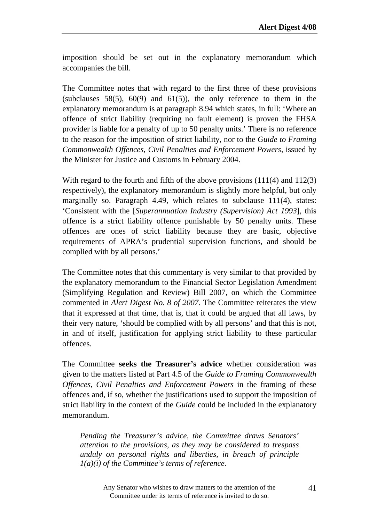imposition should be set out in the explanatory memorandum which accompanies the bill.

The Committee notes that with regard to the first three of these provisions (subclauses 58(5), 60(9) and 61(5)), the only reference to them in the explanatory memorandum is at paragraph 8.94 which states, in full: 'Where an offence of strict liability (requiring no fault element) is proven the FHSA provider is liable for a penalty of up to 50 penalty units.' There is no reference to the reason for the imposition of strict liability, nor to the *Guide to Framing Commonwealth Offences, Civil Penalties and Enforcement Powers*, issued by the Minister for Justice and Customs in February 2004.

With regard to the fourth and fifth of the above provisions (111(4) and 112(3) respectively), the explanatory memorandum is slightly more helpful, but only marginally so. Paragraph 4.49, which relates to subclause 111(4), states: 'Consistent with the [*Superannuation Industry (Supervision) Act 1993*], this offence is a strict liability offence punishable by 50 penalty units. These offences are ones of strict liability because they are basic, objective requirements of APRA's prudential supervision functions, and should be complied with by all persons.'

The Committee notes that this commentary is very similar to that provided by the explanatory memorandum to the Financial Sector Legislation Amendment (Simplifying Regulation and Review) Bill 2007, on which the Committee commented in *Alert Digest No. 8 of 2007*. The Committee reiterates the view that it expressed at that time, that is, that it could be argued that all laws, by their very nature, 'should be complied with by all persons' and that this is not, in and of itself, justification for applying strict liability to these particular offences.

The Committee **seeks the Treasurer's advice** whether consideration was given to the matters listed at Part 4.5 of the *Guide to Framing Commonwealth Offences, Civil Penalties and Enforcement Powers* in the framing of these offences and, if so, whether the justifications used to support the imposition of strict liability in the context of the *Guide* could be included in the explanatory memorandum.

*Pending the Treasurer's advice, the Committee draws Senators' attention to the provisions, as they may be considered to trespass unduly on personal rights and liberties, in breach of principle 1(a)(i) of the Committee's terms of reference.*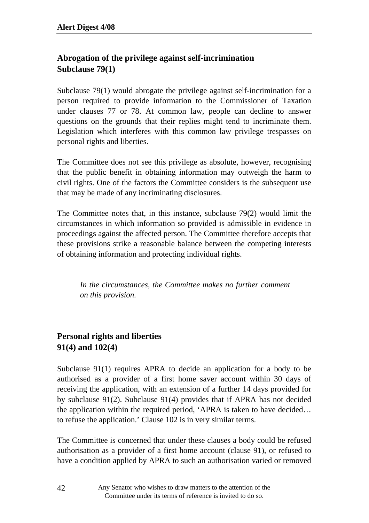### **Abrogation of the privilege against self-incrimination Subclause 79(1)**

Subclause 79(1) would abrogate the privilege against self-incrimination for a person required to provide information to the Commissioner of Taxation under clauses 77 or 78. At common law, people can decline to answer questions on the grounds that their replies might tend to incriminate them. Legislation which interferes with this common law privilege trespasses on personal rights and liberties.

The Committee does not see this privilege as absolute, however, recognising that the public benefit in obtaining information may outweigh the harm to civil rights. One of the factors the Committee considers is the subsequent use that may be made of any incriminating disclosures.

The Committee notes that, in this instance, subclause 79(2) would limit the circumstances in which information so provided is admissible in evidence in proceedings against the affected person. The Committee therefore accepts that these provisions strike a reasonable balance between the competing interests of obtaining information and protecting individual rights.

*In the circumstances, the Committee makes no further comment on this provision.* 

### **Personal rights and liberties 91(4) and 102(4)**

Subclause 91(1) requires APRA to decide an application for a body to be authorised as a provider of a first home saver account within 30 days of receiving the application, with an extension of a further 14 days provided for by subclause 91(2). Subclause 91(4) provides that if APRA has not decided the application within the required period, 'APRA is taken to have decided… to refuse the application.' Clause 102 is in very similar terms.

The Committee is concerned that under these clauses a body could be refused authorisation as a provider of a first home account (clause 91), or refused to have a condition applied by APRA to such an authorisation varied or removed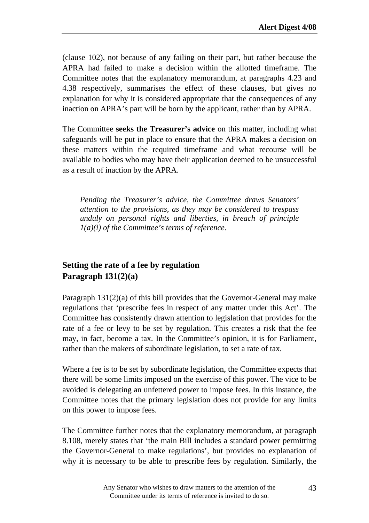(clause 102), not because of any failing on their part, but rather because the APRA had failed to make a decision within the allotted timeframe. The Committee notes that the explanatory memorandum, at paragraphs 4.23 and 4.38 respectively, summarises the effect of these clauses, but gives no explanation for why it is considered appropriate that the consequences of any inaction on APRA's part will be born by the applicant, rather than by APRA.

The Committee **seeks the Treasurer's advice** on this matter, including what safeguards will be put in place to ensure that the APRA makes a decision on these matters within the required timeframe and what recourse will be available to bodies who may have their application deemed to be unsuccessful as a result of inaction by the APRA.

*Pending the Treasurer's advice, the Committee draws Senators' attention to the provisions, as they may be considered to trespass unduly on personal rights and liberties, in breach of principle 1(a)(i) of the Committee's terms of reference.* 

#### **Setting the rate of a fee by regulation Paragraph 131(2)(a)**

Paragraph 131(2)(a) of this bill provides that the Governor-General may make regulations that 'prescribe fees in respect of any matter under this Act'. The Committee has consistently drawn attention to legislation that provides for the rate of a fee or levy to be set by regulation. This creates a risk that the fee may, in fact, become a tax. In the Committee's opinion, it is for Parliament, rather than the makers of subordinate legislation, to set a rate of tax.

Where a fee is to be set by subordinate legislation, the Committee expects that there will be some limits imposed on the exercise of this power. The vice to be avoided is delegating an unfettered power to impose fees. In this instance, the Committee notes that the primary legislation does not provide for any limits on this power to impose fees.

The Committee further notes that the explanatory memorandum, at paragraph 8.108, merely states that 'the main Bill includes a standard power permitting the Governor-General to make regulations', but provides no explanation of why it is necessary to be able to prescribe fees by regulation. Similarly, the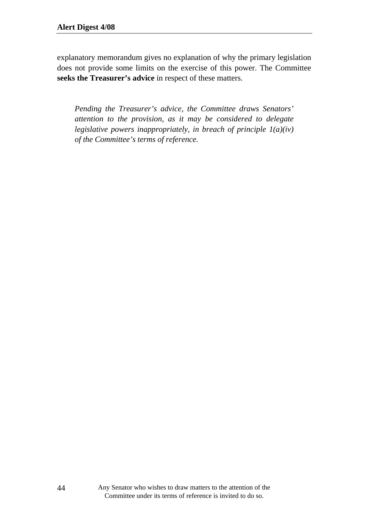explanatory memorandum gives no explanation of why the primary legislation does not provide some limits on the exercise of this power. The Committee **seeks the Treasurer's advice** in respect of these matters.

*Pending the Treasurer's advice, the Committee draws Senators' attention to the provision, as it may be considered to delegate legislative powers inappropriately, in breach of principle 1(a)(iv) of the Committee's terms of reference.*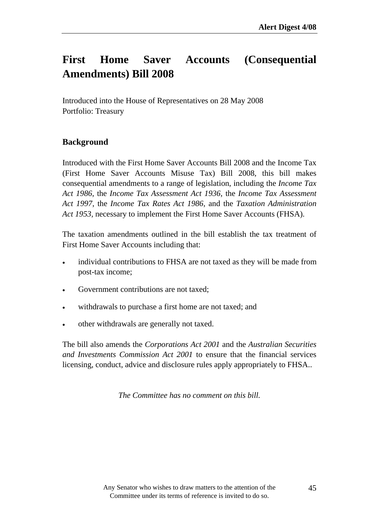# **First Home Saver Accounts (Consequential Amendments) Bill 2008**

Introduced into the House of Representatives on 28 May 2008 Portfolio: Treasury

#### **Background**

Introduced with the First Home Saver Accounts Bill 2008 and the Income Tax (First Home Saver Accounts Misuse Tax) Bill 2008, this bill makes consequential amendments to a range of legislation, including the *Income Tax Act 1986*, the *Income Tax Assessment Act 1936*, the *Income Tax Assessment Act 1997*, the *Income Tax Rates Act 1986*, and the *Taxation Administration Act 1953,* necessary to implement the First Home Saver Accounts (FHSA).

The taxation amendments outlined in the bill establish the tax treatment of First Home Saver Accounts including that:

- individual contributions to FHSA are not taxed as they will be made from post-tax income;
- Government contributions are not taxed:
- withdrawals to purchase a first home are not taxed; and
- other withdrawals are generally not taxed.

The bill also amends the *Corporations Act 2001* and the *Australian Securities and Investments Commission Act 2001* to ensure that the financial services licensing, conduct, advice and disclosure rules apply appropriately to FHSA..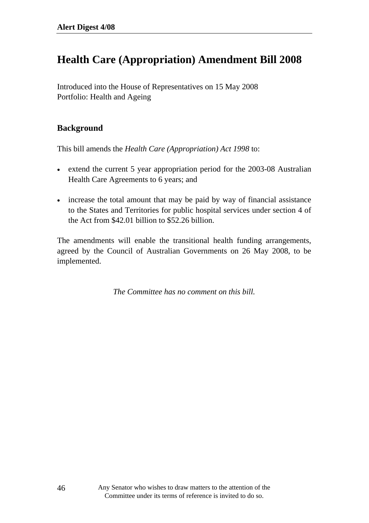## **Health Care (Appropriation) Amendment Bill 2008**

Introduced into the House of Representatives on 15 May 2008 Portfolio: Health and Ageing

#### **Background**

This bill amends the *Health Care (Appropriation) Act 1998* to:

- extend the current 5 year appropriation period for the 2003-08 Australian Health Care Agreements to 6 years; and
- increase the total amount that may be paid by way of financial assistance to the States and Territories for public hospital services under section 4 of the Act from \$42.01 billion to \$52.26 billion.

The amendments will enable the transitional health funding arrangements, agreed by the Council of Australian Governments on 26 May 2008, to be implemented.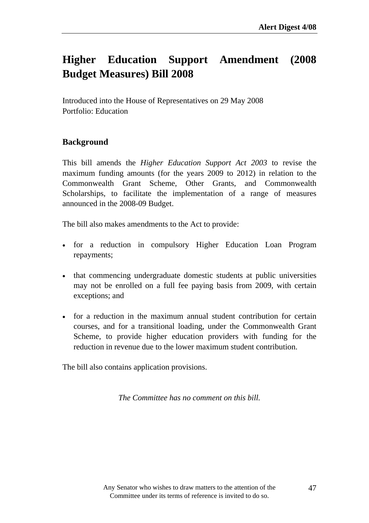# **Higher Education Support Amendment (2008 Budget Measures) Bill 2008**

Introduced into the House of Representatives on 29 May 2008 Portfolio: Education

#### **Background**

This bill amends the *Higher Education Support Act 2003* to revise the maximum funding amounts (for the years 2009 to 2012) in relation to the Commonwealth Grant Scheme, Other Grants, and Commonwealth Scholarships, to facilitate the implementation of a range of measures announced in the 2008-09 Budget.

The bill also makes amendments to the Act to provide:

- for a reduction in compulsory Higher Education Loan Program repayments;
- that commencing undergraduate domestic students at public universities may not be enrolled on a full fee paying basis from 2009, with certain exceptions; and
- for a reduction in the maximum annual student contribution for certain courses, and for a transitional loading, under the Commonwealth Grant Scheme, to provide higher education providers with funding for the reduction in revenue due to the lower maximum student contribution.

The bill also contains application provisions.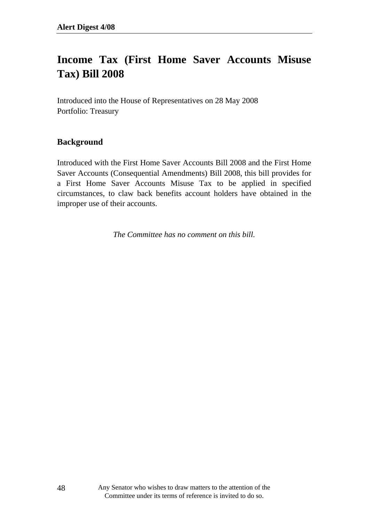## **Income Tax (First Home Saver Accounts Misuse Tax) Bill 2008**

Introduced into the House of Representatives on 28 May 2008 Portfolio: Treasury

#### **Background**

Introduced with the First Home Saver Accounts Bill 2008 and the First Home Saver Accounts (Consequential Amendments) Bill 2008, this bill provides for a First Home Saver Accounts Misuse Tax to be applied in specified circumstances, to claw back benefits account holders have obtained in the improper use of their accounts.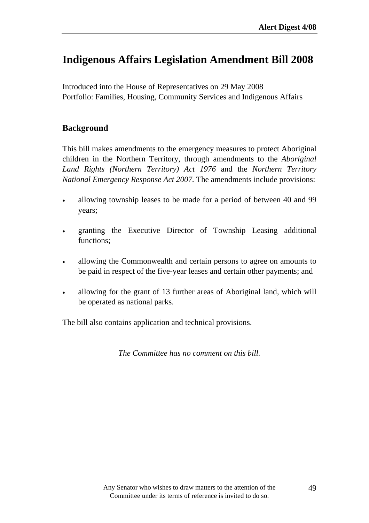## **Indigenous Affairs Legislation Amendment Bill 2008**

Introduced into the House of Representatives on 29 May 2008 Portfolio: Families, Housing, Community Services and Indigenous Affairs

#### **Background**

This bill makes amendments to the emergency measures to protect Aboriginal children in the Northern Territory, through amendments to the *Aboriginal Land Rights (Northern Territory) Act 1976* and the *Northern Territory National Emergency Response Act 2007.* The amendments include provisions:

- allowing township leases to be made for a period of between 40 and 99 years;
- granting the Executive Director of Township Leasing additional functions;
- allowing the Commonwealth and certain persons to agree on amounts to be paid in respect of the five-year leases and certain other payments; and
- allowing for the grant of 13 further areas of Aboriginal land, which will be operated as national parks.

The bill also contains application and technical provisions.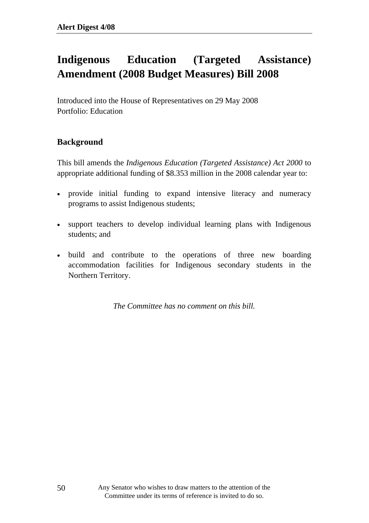# **Indigenous Education (Targeted Assistance) Amendment (2008 Budget Measures) Bill 2008**

Introduced into the House of Representatives on 29 May 2008 Portfolio: Education

#### **Background**

This bill amends the *Indigenous Education (Targeted Assistance) Act 2000* to appropriate additional funding of \$8.353 million in the 2008 calendar year to:

- provide initial funding to expand intensive literacy and numeracy programs to assist Indigenous students;
- support teachers to develop individual learning plans with Indigenous students; and
- build and contribute to the operations of three new boarding accommodation facilities for Indigenous secondary students in the Northern Territory.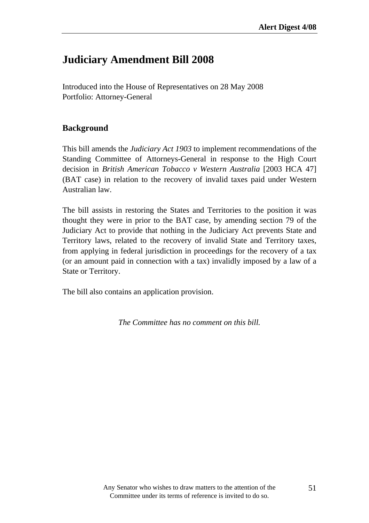### **Judiciary Amendment Bill 2008**

Introduced into the House of Representatives on 28 May 2008 Portfolio: Attorney-General

#### **Background**

This bill amends the *Judiciary Act 1903* to implement recommendations of the Standing Committee of Attorneys-General in response to the High Court decision in *British American Tobacco v Western Australia* [2003 HCA 47] (BAT case) in relation to the recovery of invalid taxes paid under Western Australian law.

The bill assists in restoring the States and Territories to the position it was thought they were in prior to the BAT case, by amending section 79 of the Judiciary Act to provide that nothing in the Judiciary Act prevents State and Territory laws, related to the recovery of invalid State and Territory taxes, from applying in federal jurisdiction in proceedings for the recovery of a tax (or an amount paid in connection with a tax) invalidly imposed by a law of a State or Territory.

The bill also contains an application provision.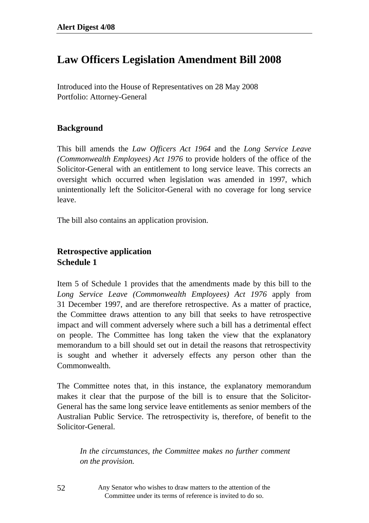### **Law Officers Legislation Amendment Bill 2008**

Introduced into the House of Representatives on 28 May 2008 Portfolio: Attorney-General

#### **Background**

This bill amends the *Law Officers Act 1964* and the *Long Service Leave (Commonwealth Employees) Act 1976* to provide holders of the office of the Solicitor-General with an entitlement to long service leave. This corrects an oversight which occurred when legislation was amended in 1997, which unintentionally left the Solicitor-General with no coverage for long service leave.

The bill also contains an application provision.

#### **Retrospective application Schedule 1**

Item 5 of Schedule 1 provides that the amendments made by this bill to the *Long Service Leave (Commonwealth Employees) Act 1976* apply from 31 December 1997, and are therefore retrospective. As a matter of practice, the Committee draws attention to any bill that seeks to have retrospective impact and will comment adversely where such a bill has a detrimental effect on people. The Committee has long taken the view that the explanatory memorandum to a bill should set out in detail the reasons that retrospectivity is sought and whether it adversely effects any person other than the Commonwealth.

The Committee notes that, in this instance, the explanatory memorandum makes it clear that the purpose of the bill is to ensure that the Solicitor-General has the same long service leave entitlements as senior members of the Australian Public Service. The retrospectivity is, therefore, of benefit to the Solicitor-General.

*In the circumstances, the Committee makes no further comment on the provision.* 

Any Senator who wishes to draw matters to the attention of the Committee under its terms of reference is invited to do so.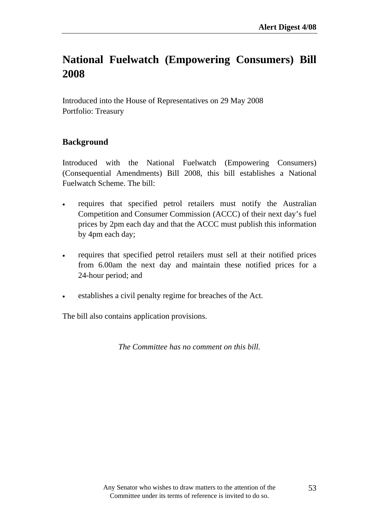# **National Fuelwatch (Empowering Consumers) Bill 2008**

Introduced into the House of Representatives on 29 May 2008 Portfolio: Treasury

#### **Background**

Introduced with the National Fuelwatch (Empowering Consumers) (Consequential Amendments) Bill 2008, this bill establishes a National Fuelwatch Scheme. The bill:

- requires that specified petrol retailers must notify the Australian Competition and Consumer Commission (ACCC) of their next day's fuel prices by 2pm each day and that the ACCC must publish this information by 4pm each day;
- requires that specified petrol retailers must sell at their notified prices from 6.00am the next day and maintain these notified prices for a 24-hour period; and
- establishes a civil penalty regime for breaches of the Act.

The bill also contains application provisions.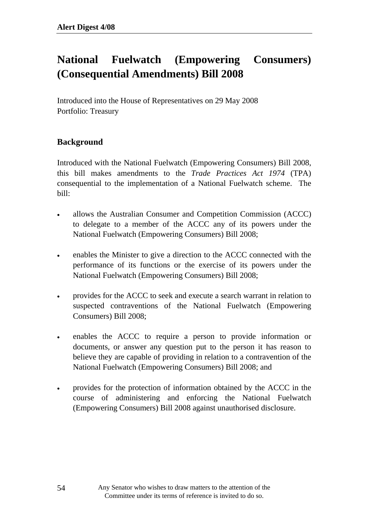# **National Fuelwatch (Empowering Consumers) (Consequential Amendments) Bill 2008**

Introduced into the House of Representatives on 29 May 2008 Portfolio: Treasury

### **Background**

Introduced with the National Fuelwatch (Empowering Consumers) Bill 2008, this bill makes amendments to the *Trade Practices Act 1974* (TPA) consequential to the implementation of a National Fuelwatch scheme. The bill:

- allows the Australian Consumer and Competition Commission (ACCC) to delegate to a member of the ACCC any of its powers under the National Fuelwatch (Empowering Consumers) Bill 2008;
- enables the Minister to give a direction to the ACCC connected with the performance of its functions or the exercise of its powers under the National Fuelwatch (Empowering Consumers) Bill 2008;
- provides for the ACCC to seek and execute a search warrant in relation to suspected contraventions of the National Fuelwatch (Empowering Consumers) Bill 2008;
- enables the ACCC to require a person to provide information or documents, or answer any question put to the person it has reason to believe they are capable of providing in relation to a contravention of the National Fuelwatch (Empowering Consumers) Bill 2008; and
- provides for the protection of information obtained by the ACCC in the course of administering and enforcing the National Fuelwatch (Empowering Consumers) Bill 2008 against unauthorised disclosure.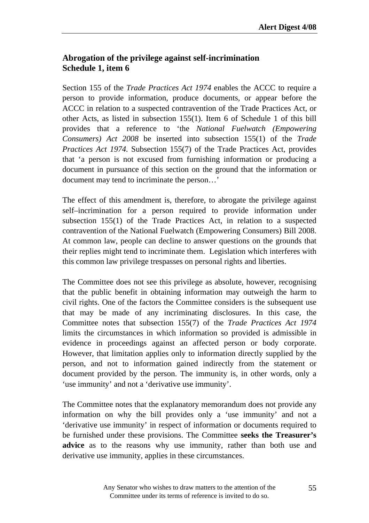#### **Abrogation of the privilege against self-incrimination Schedule 1, item 6**

Section 155 of the *Trade Practices Act 1974* enables the ACCC to require a person to provide information, produce documents, or appear before the ACCC in relation to a suspected contravention of the Trade Practices Act, or other Acts, as listed in subsection 155(1). Item 6 of Schedule 1 of this bill provides that a reference to 'the *National Fuelwatch (Empowering Consumers) Act 2008* be inserted into subsection 155(1) of the *Trade Practices Act 1974.* Subsection 155(7) of the Trade Practices Act, provides that 'a person is not excused from furnishing information or producing a document in pursuance of this section on the ground that the information or document may tend to incriminate the person…'

The effect of this amendment is, therefore, to abrogate the privilege against self–incrimination for a person required to provide information under subsection 155(1) of the Trade Practices Act, in relation to a suspected contravention of the National Fuelwatch (Empowering Consumers) Bill 2008. At common law, people can decline to answer questions on the grounds that their replies might tend to incriminate them. Legislation which interferes with this common law privilege trespasses on personal rights and liberties.

The Committee does not see this privilege as absolute, however, recognising that the public benefit in obtaining information may outweigh the harm to civil rights. One of the factors the Committee considers is the subsequent use that may be made of any incriminating disclosures. In this case, the Committee notes that subsection 155(7) of the *Trade Practices Act 1974* limits the circumstances in which information so provided is admissible in evidence in proceedings against an affected person or body corporate. However, that limitation applies only to information directly supplied by the person, and not to information gained indirectly from the statement or document provided by the person. The immunity is, in other words, only a 'use immunity' and not a 'derivative use immunity'.

The Committee notes that the explanatory memorandum does not provide any information on why the bill provides only a 'use immunity' and not a 'derivative use immunity' in respect of information or documents required to be furnished under these provisions. The Committee **seeks the Treasurer's advice** as to the reasons why use immunity, rather than both use and derivative use immunity, applies in these circumstances.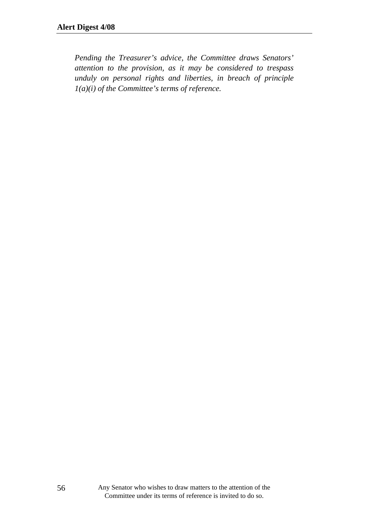*Pending the Treasurer's advice, the Committee draws Senators' attention to the provision, as it may be considered to trespass unduly on personal rights and liberties, in breach of principle 1(a)(i) of the Committee's terms of reference.*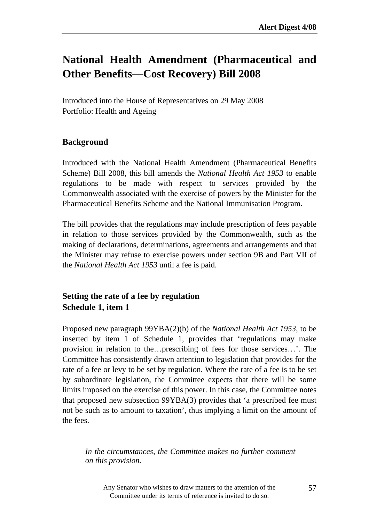## **National Health Amendment (Pharmaceutical and Other Benefits—Cost Recovery) Bill 2008**

Introduced into the House of Representatives on 29 May 2008 Portfolio: Health and Ageing

#### **Background**

Introduced with the National Health Amendment (Pharmaceutical Benefits Scheme) Bill 2008, this bill amends the *National Health Act 1953* to enable regulations to be made with respect to services provided by the Commonwealth associated with the exercise of powers by the Minister for the Pharmaceutical Benefits Scheme and the National Immunisation Program.

The bill provides that the regulations may include prescription of fees payable in relation to those services provided by the Commonwealth, such as the making of declarations, determinations, agreements and arrangements and that the Minister may refuse to exercise powers under section 9B and Part VII of the *National Health Act 1953* until a fee is paid.

#### **Setting the rate of a fee by regulation Schedule 1, item 1**

Proposed new paragraph 99YBA(2)(b) of the *National Health Act 1953,* to be inserted by item 1 of Schedule 1, provides that 'regulations may make provision in relation to the…prescribing of fees for those services…'. The Committee has consistently drawn attention to legislation that provides for the rate of a fee or levy to be set by regulation. Where the rate of a fee is to be set by subordinate legislation, the Committee expects that there will be some limits imposed on the exercise of this power. In this case, the Committee notes that proposed new subsection 99YBA(3) provides that 'a prescribed fee must not be such as to amount to taxation', thus implying a limit on the amount of the fees.

*In the circumstances, the Committee makes no further comment on this provision.*

Any Senator who wishes to draw matters to the attention of the Committee under its terms of reference is invited to do so.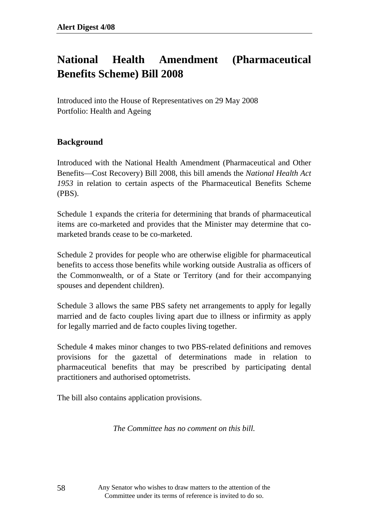# **National Health Amendment (Pharmaceutical Benefits Scheme) Bill 2008**

Introduced into the House of Representatives on 29 May 2008 Portfolio: Health and Ageing

#### **Background**

Introduced with the National Health Amendment (Pharmaceutical and Other Benefits—Cost Recovery) Bill 2008, this bill amends the *National Health Act 1953* in relation to certain aspects of the Pharmaceutical Benefits Scheme (PBS).

Schedule 1 expands the criteria for determining that brands of pharmaceutical items are co-marketed and provides that the Minister may determine that comarketed brands cease to be co-marketed.

Schedule 2 provides for people who are otherwise eligible for pharmaceutical benefits to access those benefits while working outside Australia as officers of the Commonwealth, or of a State or Territory (and for their accompanying spouses and dependent children).

Schedule 3 allows the same PBS safety net arrangements to apply for legally married and de facto couples living apart due to illness or infirmity as apply for legally married and de facto couples living together.

Schedule 4 makes minor changes to two PBS-related definitions and removes provisions for the gazettal of determinations made in relation to pharmaceutical benefits that may be prescribed by participating dental practitioners and authorised optometrists.

The bill also contains application provisions.

*The Committee has no comment on this bill.* 

Any Senator who wishes to draw matters to the attention of the Committee under its terms of reference is invited to do so.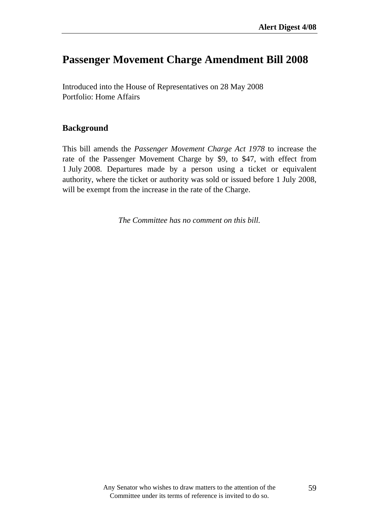### **Passenger Movement Charge Amendment Bill 2008**

Introduced into the House of Representatives on 28 May 2008 Portfolio: Home Affairs

#### **Background**

This bill amends the *Passenger Movement Charge Act 1978* to increase the rate of the Passenger Movement Charge by \$9, to \$47, with effect from 1 July 2008. Departures made by a person using a ticket or equivalent authority, where the ticket or authority was sold or issued before 1 July 2008, will be exempt from the increase in the rate of the Charge.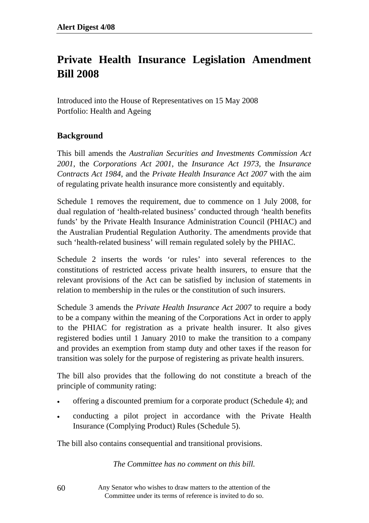# **Private Health Insurance Legislation Amendment Bill 2008**

Introduced into the House of Representatives on 15 May 2008 Portfolio: Health and Ageing

#### **Background**

This bill amends the *Australian Securities and Investments Commission Act 2001*, the *Corporations Act 2001*, the *Insurance Act 1973*, the *Insurance Contracts Act 1984*, and the *Private Health Insurance Act 2007* with the aim of regulating private health insurance more consistently and equitably.

Schedule 1 removes the requirement, due to commence on 1 July 2008, for dual regulation of 'health-related business' conducted through 'health benefits funds' by the Private Health Insurance Administration Council (PHIAC) and the Australian Prudential Regulation Authority. The amendments provide that such 'health-related business' will remain regulated solely by the PHIAC.

Schedule 2 inserts the words 'or rules' into several references to the constitutions of restricted access private health insurers, to ensure that the relevant provisions of the Act can be satisfied by inclusion of statements in relation to membership in the rules or the constitution of such insurers.

Schedule 3 amends the *Private Health Insurance Act 2007* to require a body to be a company within the meaning of the Corporations Act in order to apply to the PHIAC for registration as a private health insurer. It also gives registered bodies until 1 January 2010 to make the transition to a company and provides an exemption from stamp duty and other taxes if the reason for transition was solely for the purpose of registering as private health insurers.

The bill also provides that the following do not constitute a breach of the principle of community rating:

- offering a discounted premium for a corporate product (Schedule 4); and
- conducting a pilot project in accordance with the Private Health Insurance (Complying Product) Rules (Schedule 5).

The bill also contains consequential and transitional provisions.

*The Committee has no comment on this bill.* 

Any Senator who wishes to draw matters to the attention of the Committee under its terms of reference is invited to do so.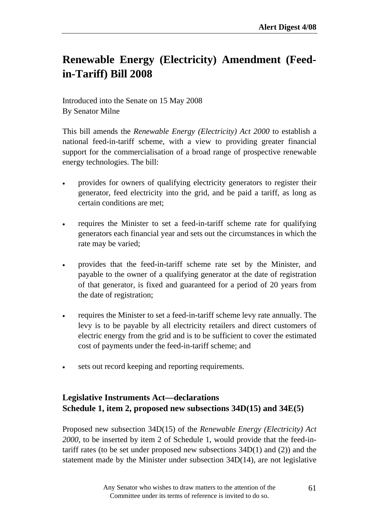# **Renewable Energy (Electricity) Amendment (Feedin-Tariff) Bill 2008**

Introduced into the Senate on 15 May 2008 By Senator Milne

This bill amends the *Renewable Energy (Electricity) Act 2000* to establish a national feed-in-tariff scheme, with a view to providing greater financial support for the commercialisation of a broad range of prospective renewable energy technologies. The bill:

- provides for owners of qualifying electricity generators to register their generator, feed electricity into the grid, and be paid a tariff, as long as certain conditions are met;
- requires the Minister to set a feed-in-tariff scheme rate for qualifying generators each financial year and sets out the circumstances in which the rate may be varied;
- provides that the feed-in-tariff scheme rate set by the Minister, and payable to the owner of a qualifying generator at the date of registration of that generator, is fixed and guaranteed for a period of 20 years from the date of registration;
- requires the Minister to set a feed-in-tariff scheme levy rate annually. The levy is to be payable by all electricity retailers and direct customers of electric energy from the grid and is to be sufficient to cover the estimated cost of payments under the feed-in-tariff scheme; and
- sets out record keeping and reporting requirements.

### **Legislative Instruments Act—declarations Schedule 1, item 2, proposed new subsections 34D(15) and 34E(5)**

Proposed new subsection 34D(15) of the *Renewable Energy (Electricity) Act 2000*, to be inserted by item 2 of Schedule 1, would provide that the feed-intariff rates (to be set under proposed new subsections 34D(1) and (2)) and the statement made by the Minister under subsection 34D(14), are not legislative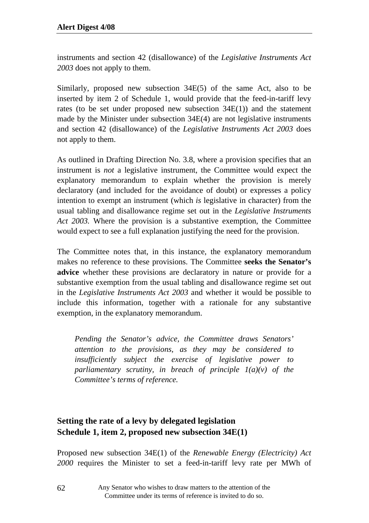instruments and section 42 (disallowance) of the *Legislative Instruments Act 2003* does not apply to them.

Similarly, proposed new subsection 34E(5) of the same Act, also to be inserted by item 2 of Schedule 1, would provide that the feed-in-tariff levy rates (to be set under proposed new subsection 34E(1)) and the statement made by the Minister under subsection 34E(4) are not legislative instruments and section 42 (disallowance) of the *Legislative Instruments Act 2003* does not apply to them.

As outlined in Drafting Direction No. 3.8, where a provision specifies that an instrument is *not* a legislative instrument, the Committee would expect the explanatory memorandum to explain whether the provision is merely declaratory (and included for the avoidance of doubt) or expresses a policy intention to exempt an instrument (which *is* legislative in character) from the usual tabling and disallowance regime set out in the *Legislative Instruments Act 2003.* Where the provision is a substantive exemption, the Committee would expect to see a full explanation justifying the need for the provision.

The Committee notes that, in this instance, the explanatory memorandum makes no reference to these provisions. The Committee **seeks the Senator's advice** whether these provisions are declaratory in nature or provide for a substantive exemption from the usual tabling and disallowance regime set out in the *Legislative Instruments Act 2003* and whether it would be possible to include this information, together with a rationale for any substantive exemption, in the explanatory memorandum.

*Pending the Senator's advice, the Committee draws Senators' attention to the provisions, as they may be considered to insufficiently subject the exercise of legislative power to parliamentary scrutiny, in breach of principle 1(a)(v) of the Committee's terms of reference.* 

### **Setting the rate of a levy by delegated legislation Schedule 1, item 2, proposed new subsection 34E(1)**

Proposed new subsection 34E(1) of the *Renewable Energy (Electricity) Act 2000* requires the Minister to set a feed-in-tariff levy rate per MWh of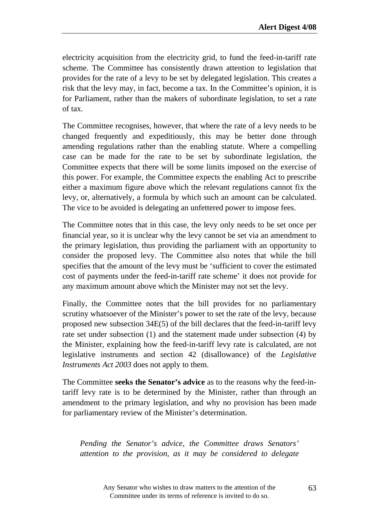electricity acquisition from the electricity grid, to fund the feed-in-tariff rate scheme. The Committee has consistently drawn attention to legislation that provides for the rate of a levy to be set by delegated legislation. This creates a risk that the levy may, in fact, become a tax. In the Committee's opinion, it is for Parliament, rather than the makers of subordinate legislation, to set a rate of tax.

The Committee recognises, however, that where the rate of a levy needs to be changed frequently and expeditiously, this may be better done through amending regulations rather than the enabling statute. Where a compelling case can be made for the rate to be set by subordinate legislation, the Committee expects that there will be some limits imposed on the exercise of this power. For example, the Committee expects the enabling Act to prescribe either a maximum figure above which the relevant regulations cannot fix the levy, or, alternatively, a formula by which such an amount can be calculated. The vice to be avoided is delegating an unfettered power to impose fees.

The Committee notes that in this case, the levy only needs to be set once per financial year, so it is unclear why the levy cannot be set via an amendment to the primary legislation, thus providing the parliament with an opportunity to consider the proposed levy. The Committee also notes that while the bill specifies that the amount of the levy must be 'sufficient to cover the estimated cost of payments under the feed-in-tariff rate scheme' it does not provide for any maximum amount above which the Minister may not set the levy.

Finally, the Committee notes that the bill provides for no parliamentary scrutiny whatsoever of the Minister's power to set the rate of the levy, because proposed new subsection 34E(5) of the bill declares that the feed-in-tariff levy rate set under subsection (1) and the statement made under subsection (4) by the Minister, explaining how the feed-in-tariff levy rate is calculated, are not legislative instruments and section 42 (disallowance) of the *Legislative Instruments Act 2003* does not apply to them.

The Committee **seeks the Senator's advice** as to the reasons why the feed-intariff levy rate is to be determined by the Minister, rather than through an amendment to the primary legislation, and why no provision has been made for parliamentary review of the Minister's determination.

*Pending the Senator's advice, the Committee draws Senators' attention to the provision, as it may be considered to delegate*

> Any Senator who wishes to draw matters to the attention of the Committee under its terms of reference is invited to do so.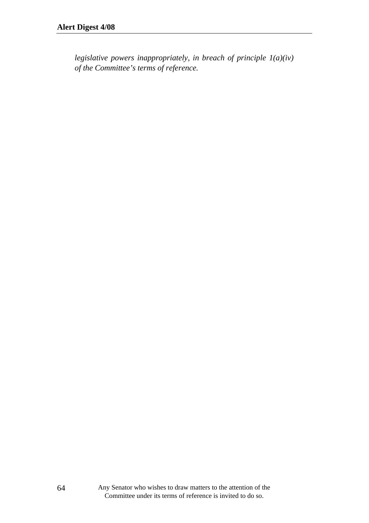*legislative powers inappropriately, in breach of principle 1(a)(iv) of the Committee's terms of reference.*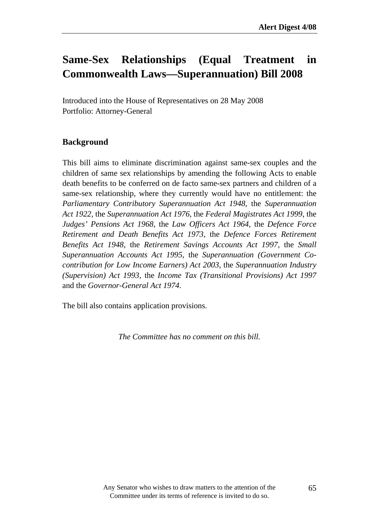# **Same-Sex Relationships (Equal Treatment in Commonwealth Laws—Superannuation) Bill 2008**

Introduced into the House of Representatives on 28 May 2008 Portfolio: Attorney-General

#### **Background**

This bill aims to eliminate discrimination against same-sex couples and the children of same sex relationships by amending the following Acts to enable death benefits to be conferred on de facto same-sex partners and children of a same-sex relationship, where they currently would have no entitlement: the *Parliamentary Contributory Superannuation Act 1948*, the *Superannuation Act 1922,* the *Superannuation Act 1976*, the *Federal Magistrates Act 1999*, the *Judges' Pensions Act 1968*, the *Law Officers Act 1964*, the *Defence Force Retirement and Death Benefits Act 1973*, the *Defence Forces Retirement Benefits Act 1948*, the *Retirement Savings Accounts Act 1997*, the *Small Superannuation Accounts Act 1995*, the *Superannuation (Government Cocontribution for Low Income Earners) Act 2003*, the *Superannuation Industry (Supervision) Act 1993*, the *Income Tax (Transitional Provisions) Act 1997* and the *Governor-General Act 1974*.

The bill also contains application provisions.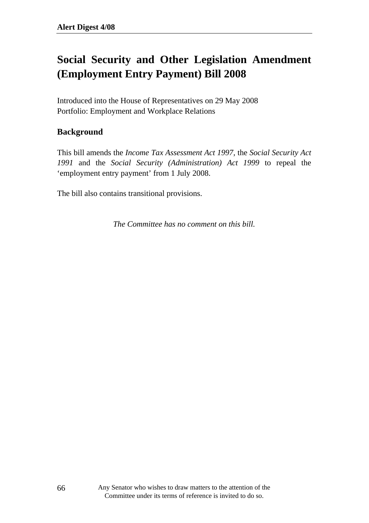# **Social Security and Other Legislation Amendment (Employment Entry Payment) Bill 2008**

Introduced into the House of Representatives on 29 May 2008 Portfolio: Employment and Workplace Relations

#### **Background**

This bill amends the *Income Tax Assessment Act 1997*, the *Social Security Act 1991* and the *Social Security (Administration) Act 1999* to repeal the 'employment entry payment' from 1 July 2008.

The bill also contains transitional provisions.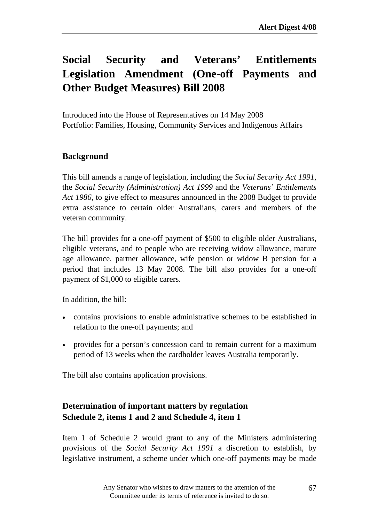# **Social Security and Veterans' Entitlements Legislation Amendment (One-off Payments and Other Budget Measures) Bill 2008**

Introduced into the House of Representatives on 14 May 2008 Portfolio: Families, Housing, Community Services and Indigenous Affairs

### **Background**

This bill amends a range of legislation, including the *Social Security Act 1991*, the *Social Security (Administration) Act 1999* and the *Veterans' Entitlements Act 1986*, to give effect to measures announced in the 2008 Budget to provide extra assistance to certain older Australians, carers and members of the veteran community.

The bill provides for a one-off payment of \$500 to eligible older Australians, eligible veterans, and to people who are receiving widow allowance, mature age allowance, partner allowance, wife pension or widow B pension for a period that includes 13 May 2008. The bill also provides for a one-off payment of \$1,000 to eligible carers.

In addition, the bill:

- contains provisions to enable administrative schemes to be established in relation to the one-off payments; and
- provides for a person's concession card to remain current for a maximum period of 13 weeks when the cardholder leaves Australia temporarily.

The bill also contains application provisions.

### **Determination of important matters by regulation Schedule 2, items 1 and 2 and Schedule 4, item 1**

Item 1 of Schedule 2 would grant to any of the Ministers administering provisions of the *Social Security Act 1991* a discretion to establish, by legislative instrument, a scheme under which one-off payments may be made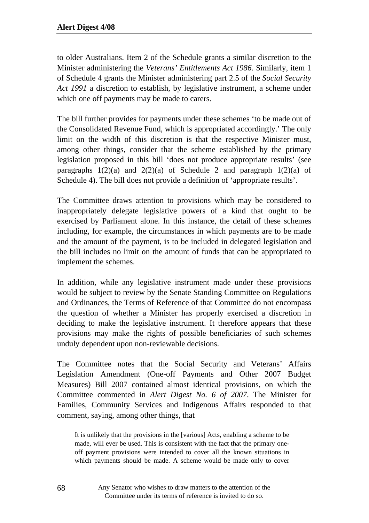to older Australians. Item 2 of the Schedule grants a similar discretion to the Minister administering the *Veterans' Entitlements Act 1986.* Similarly, item 1 of Schedule 4 grants the Minister administering part 2.5 of the *Social Security Act 1991* a discretion to establish, by legislative instrument, a scheme under which one off payments may be made to carers.

The bill further provides for payments under these schemes 'to be made out of the Consolidated Revenue Fund, which is appropriated accordingly.' The only limit on the width of this discretion is that the respective Minister must, among other things, consider that the scheme established by the primary legislation proposed in this bill 'does not produce appropriate results' (see paragraphs  $1(2)(a)$  and  $2(2)(a)$  of Schedule 2 and paragraph  $1(2)(a)$  of Schedule 4). The bill does not provide a definition of 'appropriate results'.

The Committee draws attention to provisions which may be considered to inappropriately delegate legislative powers of a kind that ought to be exercised by Parliament alone. In this instance, the detail of these schemes including, for example, the circumstances in which payments are to be made and the amount of the payment, is to be included in delegated legislation and the bill includes no limit on the amount of funds that can be appropriated to implement the schemes.

In addition, while any legislative instrument made under these provisions would be subject to review by the Senate Standing Committee on Regulations and Ordinances, the Terms of Reference of that Committee do not encompass the question of whether a Minister has properly exercised a discretion in deciding to make the legislative instrument. It therefore appears that these provisions may make the rights of possible beneficiaries of such schemes unduly dependent upon non-reviewable decisions.

The Committee notes that the Social Security and Veterans' Affairs Legislation Amendment (One-off Payments and Other 2007 Budget Measures) Bill 2007 contained almost identical provisions, on which the Committee commented in *Alert Digest No. 6 of 2007*. The Minister for Families, Community Services and Indigenous Affairs responded to that comment, saying, among other things, that

It is unlikely that the provisions in the [various] Acts, enabling a scheme to be made, will ever be used. This is consistent with the fact that the primary oneoff payment provisions were intended to cover all the known situations in which payments should be made. A scheme would be made only to cover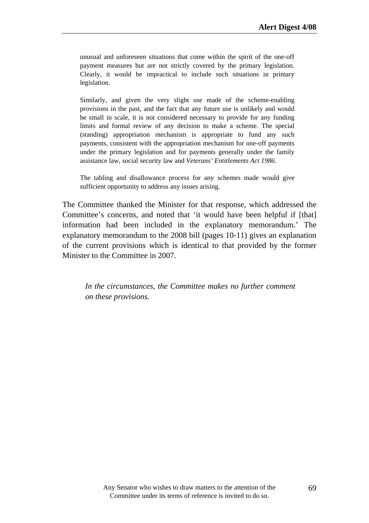unusual and unforeseen situations that come within the spirit of the one-off payment measures but are not strictly covered by the primary legislation. Clearly, it would be impractical to include such situations in primary legislation.

Similarly, and given the very slight use made of the scheme-enabling provisions in the past, and the fact that any future use is unlikely and would be small in scale, it is not considered necessary to provide for any funding limits and formal review of any decision to make a scheme. The special (standing) appropriation mechanism is appropriate to fund any such payments, consistent with the appropriation mechanism for one-off payments under the primary legislation and for payments generally under the family assistance law, social security law and *Veterans' Entitlements Act 1986*.

The tabling and disallowance process for any schemes made would give sufficient opportunity to address any issues arising.

The Committee thanked the Minister for that response, which addressed the Committee's concerns, and noted that 'it would have been helpful if [that] information had been included in the explanatory memorandum.' The explanatory memorandum to the 2008 bill (pages 10-11) gives an explanation of the current provisions which is identical to that provided by the former Minister to the Committee in 2007.

*In the circumstances, the Committee makes no further comment on these provisions.*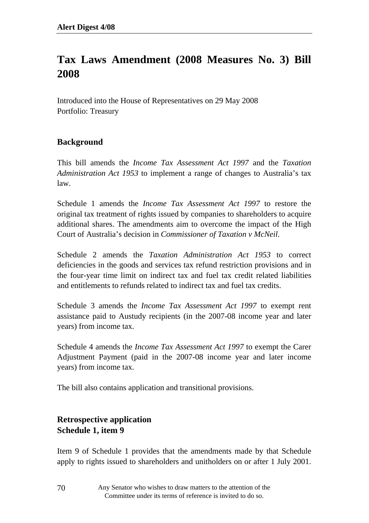# **Tax Laws Amendment (2008 Measures No. 3) Bill 2008**

Introduced into the House of Representatives on 29 May 2008 Portfolio: Treasury

### **Background**

This bill amends the *Income Tax Assessment Act 1997* and the *Taxation Administration Act 1953* to implement a range of changes to Australia's tax law.

Schedule 1 amends the *Income Tax Assessment Act 1997* to restore the original tax treatment of rights issued by companies to shareholders to acquire additional shares. The amendments aim to overcome the impact of the High Court of Australia's decision in *Commissioner of Taxation v McNeil*.

Schedule 2 amends the *Taxation Administration Act 1953* to correct deficiencies in the goods and services tax refund restriction provisions and in the four-year time limit on indirect tax and fuel tax credit related liabilities and entitlements to refunds related to indirect tax and fuel tax credits.

Schedule 3 amends the *Income Tax Assessment Act 1997* to exempt rent assistance paid to Austudy recipients (in the 2007-08 income year and later years) from income tax.

Schedule 4 amends the *Income Tax Assessment Act 1997* to exempt the Carer Adjustment Payment (paid in the 2007-08 income year and later income years) from income tax.

The bill also contains application and transitional provisions.

### **Retrospective application Schedule 1, item 9**

Item 9 of Schedule 1 provides that the amendments made by that Schedule apply to rights issued to shareholders and unitholders on or after 1 July 2001.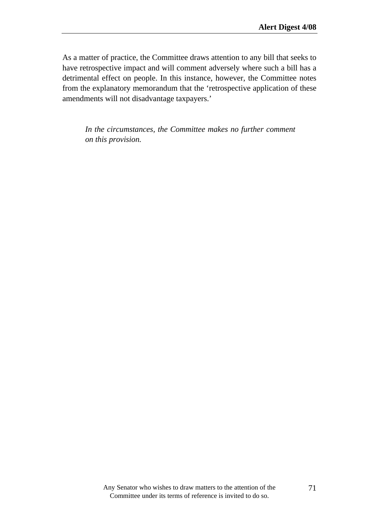As a matter of practice, the Committee draws attention to any bill that seeks to have retrospective impact and will comment adversely where such a bill has a detrimental effect on people. In this instance, however, the Committee notes from the explanatory memorandum that the 'retrospective application of these amendments will not disadvantage taxpayers.'

*In the circumstances, the Committee makes no further comment on this provision.*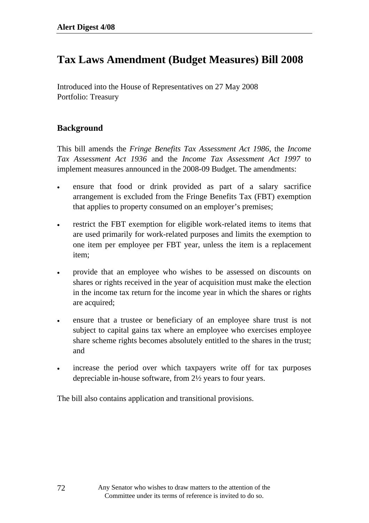## **Tax Laws Amendment (Budget Measures) Bill 2008**

Introduced into the House of Representatives on 27 May 2008 Portfolio: Treasury

#### **Background**

This bill amends the *Fringe Benefits Tax Assessment Act 1986*, the *Income Tax Assessment Act 1936* and the *Income Tax Assessment Act 1997* to implement measures announced in the 2008-09 Budget. The amendments:

- ensure that food or drink provided as part of a salary sacrifice arrangement is excluded from the Fringe Benefits Tax (FBT) exemption that applies to property consumed on an employer's premises;
- restrict the FBT exemption for eligible work-related items to items that are used primarily for work-related purposes and limits the exemption to one item per employee per FBT year, unless the item is a replacement item;
- provide that an employee who wishes to be assessed on discounts on shares or rights received in the year of acquisition must make the election in the income tax return for the income year in which the shares or rights are acquired;
- ensure that a trustee or beneficiary of an employee share trust is not subject to capital gains tax where an employee who exercises employee share scheme rights becomes absolutely entitled to the shares in the trust; and
- increase the period over which taxpayers write off for tax purposes depreciable in-house software, from 2½ years to four years.

The bill also contains application and transitional provisions.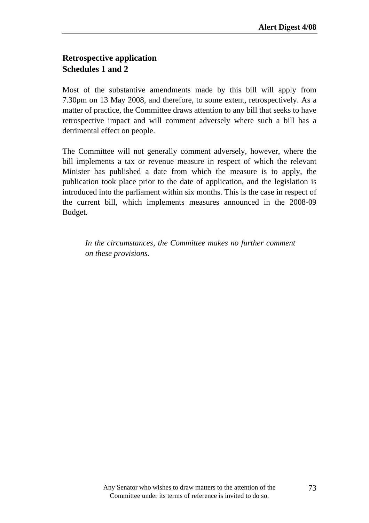### **Retrospective application Schedules 1 and 2**

Most of the substantive amendments made by this bill will apply from 7.30pm on 13 May 2008, and therefore, to some extent, retrospectively. As a matter of practice, the Committee draws attention to any bill that seeks to have retrospective impact and will comment adversely where such a bill has a detrimental effect on people.

The Committee will not generally comment adversely, however, where the bill implements a tax or revenue measure in respect of which the relevant Minister has published a date from which the measure is to apply, the publication took place prior to the date of application, and the legislation is introduced into the parliament within six months. This is the case in respect of the current bill, which implements measures announced in the 2008-09 Budget.

*In the circumstances, the Committee makes no further comment on these provisions.*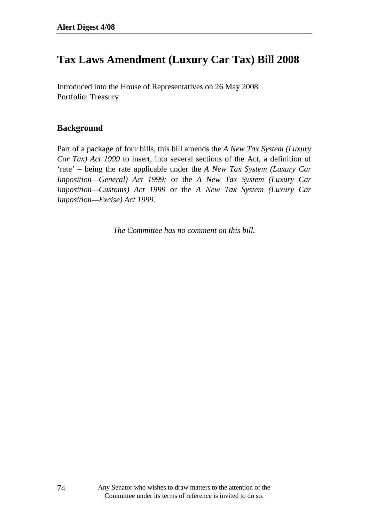# **Tax Laws Amendment (Luxury Car Tax) Bill 2008**

Introduced into the House of Representatives on 26 May 2008 Portfolio: Treasury

#### **Background**

Part of a package of four bills, this bill amends the *A New Tax System (Luxury Car Tax) Act 1999* to insert, into several sections of the Act, a definition of 'rate' – being the rate applicable under the *A New Tax System (Luxury Car Imposition—General) Act 1999;* or the *A New Tax System (Luxury Car Imposition—Customs) Act 1999* or the *A New Tax System (Luxury Car Imposition—Excise) Act 1999.*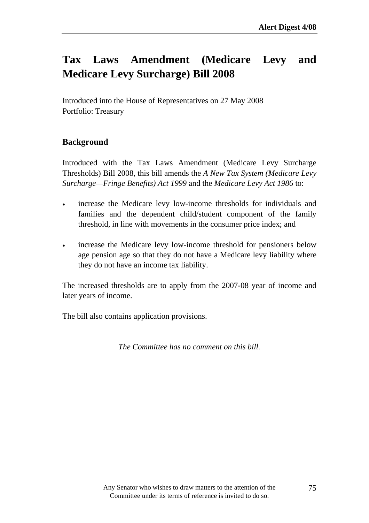# **Tax Laws Amendment (Medicare Levy and Medicare Levy Surcharge) Bill 2008**

Introduced into the House of Representatives on 27 May 2008 Portfolio: Treasury

### **Background**

Introduced with the Tax Laws Amendment (Medicare Levy Surcharge Thresholds) Bill 2008, this bill amends the *A New Tax System (Medicare Levy Surcharge—Fringe Benefits) Act 1999* and the *Medicare Levy Act 1986* to:

- increase the Medicare levy low-income thresholds for individuals and families and the dependent child/student component of the family threshold, in line with movements in the consumer price index; and
- increase the Medicare levy low-income threshold for pensioners below age pension age so that they do not have a Medicare levy liability where they do not have an income tax liability.

The increased thresholds are to apply from the 2007-08 year of income and later years of income.

The bill also contains application provisions.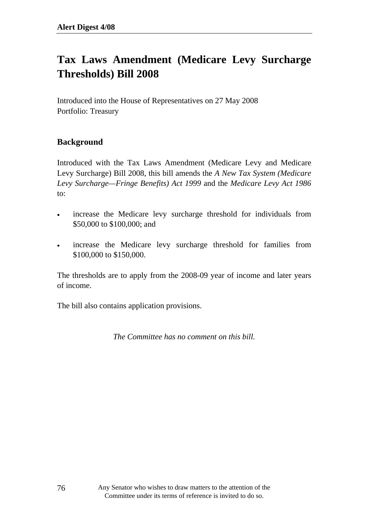# **Tax Laws Amendment (Medicare Levy Surcharge Thresholds) Bill 2008**

Introduced into the House of Representatives on 27 May 2008 Portfolio: Treasury

### **Background**

Introduced with the Tax Laws Amendment (Medicare Levy and Medicare Levy Surcharge) Bill 2008, this bill amends the *A New Tax System (Medicare Levy Surcharge—Fringe Benefits) Act 1999* and the *Medicare Levy Act 1986* to:

- increase the Medicare levy surcharge threshold for individuals from \$50,000 to \$100,000; and
- increase the Medicare levy surcharge threshold for families from \$100,000 to \$150,000.

The thresholds are to apply from the 2008-09 year of income and later years of income.

The bill also contains application provisions.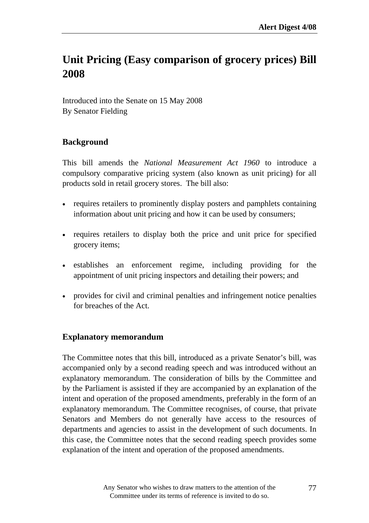# **Unit Pricing (Easy comparison of grocery prices) Bill 2008**

Introduced into the Senate on 15 May 2008 By Senator Fielding

### **Background**

This bill amends the *National Measurement Act 1960* to introduce a compulsory comparative pricing system (also known as unit pricing) for all products sold in retail grocery stores. The bill also:

- requires retailers to prominently display posters and pamphlets containing information about unit pricing and how it can be used by consumers;
- requires retailers to display both the price and unit price for specified grocery items;
- establishes an enforcement regime, including providing for the appointment of unit pricing inspectors and detailing their powers; and
- provides for civil and criminal penalties and infringement notice penalties for breaches of the Act.

### **Explanatory memorandum**

The Committee notes that this bill, introduced as a private Senator's bill, was accompanied only by a second reading speech and was introduced without an explanatory memorandum. The consideration of bills by the Committee and by the Parliament is assisted if they are accompanied by an explanation of the intent and operation of the proposed amendments, preferably in the form of an explanatory memorandum. The Committee recognises, of course, that private Senators and Members do not generally have access to the resources of departments and agencies to assist in the development of such documents. In this case, the Committee notes that the second reading speech provides some explanation of the intent and operation of the proposed amendments.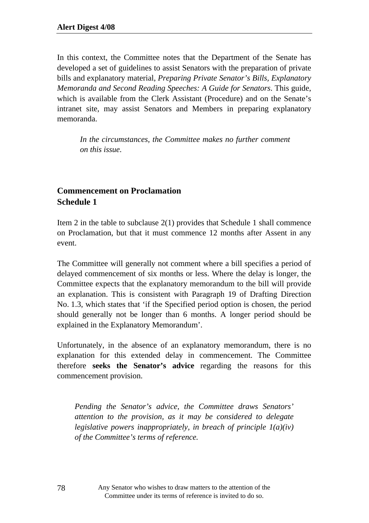In this context, the Committee notes that the Department of the Senate has developed a set of guidelines to assist Senators with the preparation of private bills and explanatory material, *Preparing Private Senator's Bills, Explanatory Memoranda and Second Reading Speeches: A Guide for Senators*. This guide, which is available from the Clerk Assistant (Procedure) and on the Senate's intranet site, may assist Senators and Members in preparing explanatory memoranda.

*In the circumstances, the Committee makes no further comment on this issue.* 

### **Commencement on Proclamation Schedule 1**

Item 2 in the table to subclause 2(1) provides that Schedule 1 shall commence on Proclamation, but that it must commence 12 months after Assent in any event.

The Committee will generally not comment where a bill specifies a period of delayed commencement of six months or less. Where the delay is longer, the Committee expects that the explanatory memorandum to the bill will provide an explanation. This is consistent with Paragraph 19 of Drafting Direction No. 1.3, which states that 'if the Specified period option is chosen, the period should generally not be longer than 6 months. A longer period should be explained in the Explanatory Memorandum'.

Unfortunately, in the absence of an explanatory memorandum, there is no explanation for this extended delay in commencement. The Committee therefore **seeks the Senator's advice** regarding the reasons for this commencement provision.

*Pending the Senator's advice, the Committee draws Senators' attention to the provision, as it may be considered to delegate legislative powers inappropriately, in breach of principle 1(a)(iv) of the Committee's terms of reference.* 

> Any Senator who wishes to draw matters to the attention of the Committee under its terms of reference is invited to do so.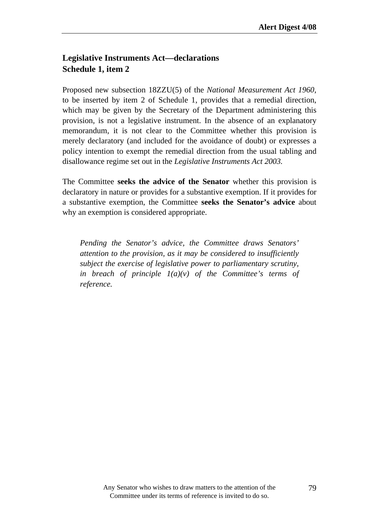### **Legislative Instruments Act—declarations Schedule 1, item 2**

Proposed new subsection 18ZZU(5) of the *National Measurement Act 1960*, to be inserted by item 2 of Schedule 1, provides that a remedial direction, which may be given by the Secretary of the Department administering this provision, is not a legislative instrument. In the absence of an explanatory memorandum, it is not clear to the Committee whether this provision is merely declaratory (and included for the avoidance of doubt) or expresses a policy intention to exempt the remedial direction from the usual tabling and disallowance regime set out in the *Legislative Instruments Act 2003.*

The Committee **seeks the advice of the Senator** whether this provision is declaratory in nature or provides for a substantive exemption. If it provides for a substantive exemption, the Committee **seeks the Senator's advice** about why an exemption is considered appropriate.

*Pending the Senator's advice, the Committee draws Senators' attention to the provision, as it may be considered to insufficiently subject the exercise of legislative power to parliamentary scrutiny, in breach of principle 1(a)(v) of the Committee's terms of reference.*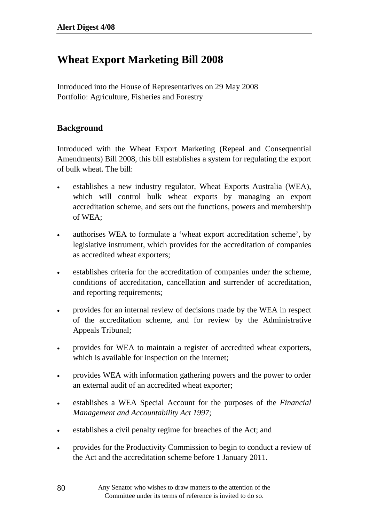# **Wheat Export Marketing Bill 2008**

Introduced into the House of Representatives on 29 May 2008 Portfolio: Agriculture, Fisheries and Forestry

#### **Background**

80

Introduced with the Wheat Export Marketing (Repeal and Consequential Amendments) Bill 2008, this bill establishes a system for regulating the export of bulk wheat. The bill:

- establishes a new industry regulator, Wheat Exports Australia (WEA), which will control bulk wheat exports by managing an export accreditation scheme, and sets out the functions, powers and membership of WEA;
- authorises WEA to formulate a 'wheat export accreditation scheme', by legislative instrument, which provides for the accreditation of companies as accredited wheat exporters;
- establishes criteria for the accreditation of companies under the scheme, conditions of accreditation, cancellation and surrender of accreditation, and reporting requirements;
- provides for an internal review of decisions made by the WEA in respect of the accreditation scheme, and for review by the Administrative Appeals Tribunal;
- provides for WEA to maintain a register of accredited wheat exporters, which is available for inspection on the internet;
- provides WEA with information gathering powers and the power to order an external audit of an accredited wheat exporter;
- establishes a WEA Special Account for the purposes of the *Financial Management and Accountability Act 1997;*
- establishes a civil penalty regime for breaches of the Act; and
- provides for the Productivity Commission to begin to conduct a review of the Act and the accreditation scheme before 1 January 2011.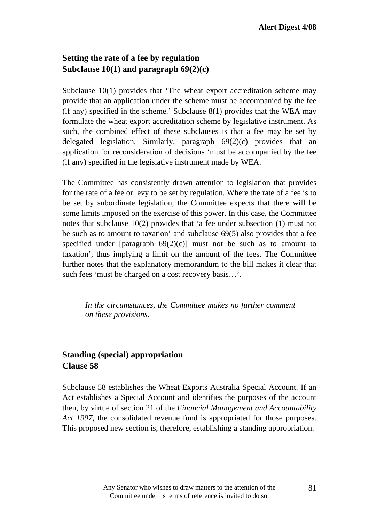### **Setting the rate of a fee by regulation Subclause 10(1) and paragraph 69(2)(c)**

Subclause 10(1) provides that 'The wheat export accreditation scheme may provide that an application under the scheme must be accompanied by the fee (if any) specified in the scheme.' Subclause  $8(1)$  provides that the WEA may formulate the wheat export accreditation scheme by legislative instrument. As such, the combined effect of these subclauses is that a fee may be set by delegated legislation. Similarly, paragraph 69(2)(c) provides that an application for reconsideration of decisions 'must be accompanied by the fee (if any) specified in the legislative instrument made by WEA.

The Committee has consistently drawn attention to legislation that provides for the rate of a fee or levy to be set by regulation. Where the rate of a fee is to be set by subordinate legislation, the Committee expects that there will be some limits imposed on the exercise of this power. In this case, the Committee notes that subclause 10(2) provides that 'a fee under subsection (1) must not be such as to amount to taxation' and subclause 69(5) also provides that a fee specified under [paragraph  $69(2)(c)$ ] must not be such as to amount to taxation', thus implying a limit on the amount of the fees. The Committee further notes that the explanatory memorandum to the bill makes it clear that such fees 'must be charged on a cost recovery basis…'.

*In the circumstances, the Committee makes no further comment on these provisions.*

### **Standing (special) appropriation Clause 58**

Subclause 58 establishes the Wheat Exports Australia Special Account. If an Act establishes a Special Account and identifies the purposes of the account then, by virtue of section 21 of the *Financial Management and Accountability Act 1997,* the consolidated revenue fund is appropriated for those purposes. This proposed new section is, therefore, establishing a standing appropriation.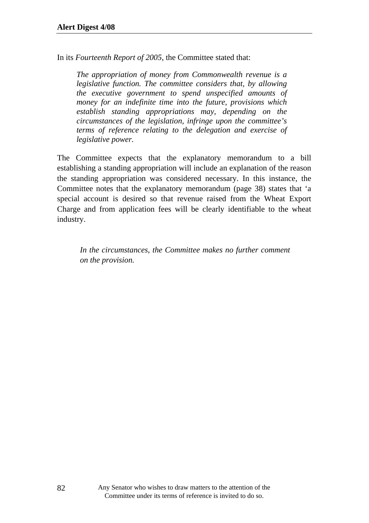In its *Fourteenth Report of 2005*, the Committee stated that:

*The appropriation of money from Commonwealth revenue is a legislative function. The committee considers that, by allowing the executive government to spend unspecified amounts of money for an indefinite time into the future, provisions which establish standing appropriations may, depending on the circumstances of the legislation, infringe upon the committee's terms of reference relating to the delegation and exercise of legislative power.* 

The Committee expects that the explanatory memorandum to a bill establishing a standing appropriation will include an explanation of the reason the standing appropriation was considered necessary. In this instance, the Committee notes that the explanatory memorandum (page 38) states that 'a special account is desired so that revenue raised from the Wheat Export Charge and from application fees will be clearly identifiable to the wheat industry.

*In the circumstances, the Committee makes no further comment on the provision.*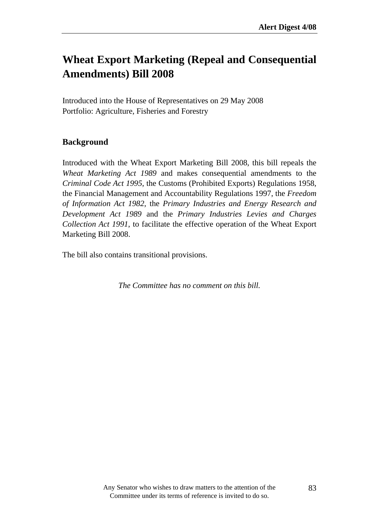# **Wheat Export Marketing (Repeal and Consequential Amendments) Bill 2008**

Introduced into the House of Representatives on 29 May 2008 Portfolio: Agriculture, Fisheries and Forestry

### **Background**

Introduced with the Wheat Export Marketing Bill 2008, this bill repeals the *Wheat Marketing Act 1989* and makes consequential amendments to the *Criminal Code Act 1995*, the Customs (Prohibited Exports) Regulations 1958, the Financial Management and Accountability Regulations 1997, the *Freedom of Information Act 1982*, the *Primary Industries and Energy Research and Development Act 1989* and the *Primary Industries Levies and Charges Collection Act 1991*, to facilitate the effective operation of the Wheat Export Marketing Bill 2008.

The bill also contains transitional provisions.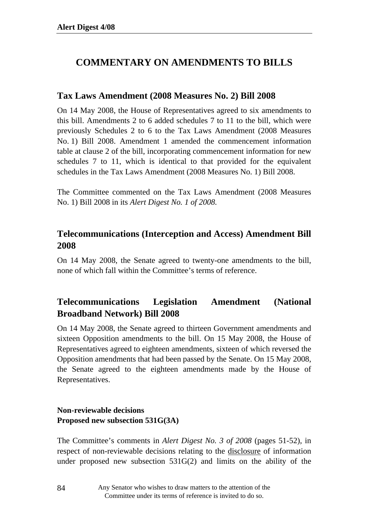## **COMMENTARY ON AMENDMENTS TO BILLS**

#### **Tax Laws Amendment (2008 Measures No. 2) Bill 2008**

On 14 May 2008, the House of Representatives agreed to six amendments to this bill. Amendments 2 to 6 added schedules 7 to 11 to the bill, which were previously Schedules 2 to 6 to the Tax Laws Amendment (2008 Measures No. 1) Bill 2008. Amendment 1 amended the commencement information table at clause 2 of the bill, incorporating commencement information for new schedules 7 to 11, which is identical to that provided for the equivalent schedules in the Tax Laws Amendment (2008 Measures No. 1) Bill 2008.

The Committee commented on the Tax Laws Amendment (2008 Measures No. 1) Bill 2008 in its *Alert Digest No. 1 of 2008.* 

### **Telecommunications (Interception and Access) Amendment Bill 2008**

On 14 May 2008, the Senate agreed to twenty-one amendments to the bill, none of which fall within the Committee's terms of reference.

### **Telecommunications Legislation Amendment (National Broadband Network) Bill 2008**

On 14 May 2008, the Senate agreed to thirteen Government amendments and sixteen Opposition amendments to the bill. On 15 May 2008, the House of Representatives agreed to eighteen amendments, sixteen of which reversed the Opposition amendments that had been passed by the Senate. On 15 May 2008, the Senate agreed to the eighteen amendments made by the House of Representatives.

#### **Non-reviewable decisions Proposed new subsection 531G(3A)**

The Committee's comments in *Alert Digest No. 3 of 2008* (pages 51-52)*,* in respect of non-reviewable decisions relating to the disclosure of information under proposed new subsection 531G(2) and limits on the ability of the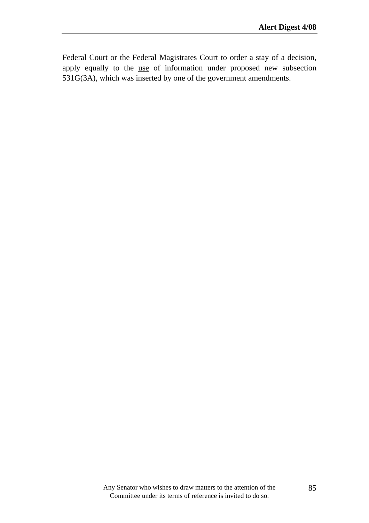Federal Court or the Federal Magistrates Court to order a stay of a decision, apply equally to the use of information under proposed new subsection 531G(3A), which was inserted by one of the government amendments.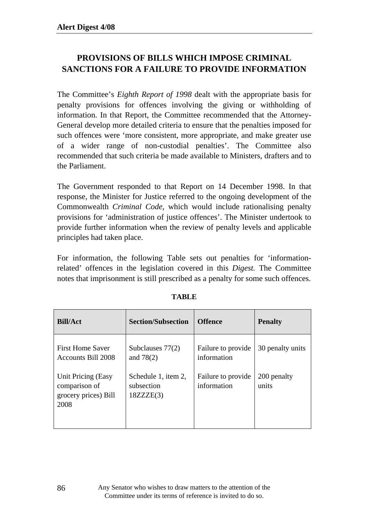### **PROVISIONS OF BILLS WHICH IMPOSE CRIMINAL SANCTIONS FOR A FAILURE TO PROVIDE INFORMATION**

The Committee's *Eighth Report of 1998* dealt with the appropriate basis for penalty provisions for offences involving the giving or withholding of information. In that Report, the Committee recommended that the Attorney-General develop more detailed criteria to ensure that the penalties imposed for such offences were 'more consistent, more appropriate, and make greater use of a wider range of non-custodial penalties'. The Committee also recommended that such criteria be made available to Ministers, drafters and to the Parliament.

The Government responded to that Report on 14 December 1998. In that response, the Minister for Justice referred to the ongoing development of the Commonwealth *Criminal Code*, which would include rationalising penalty provisions for 'administration of justice offences'. The Minister undertook to provide further information when the review of penalty levels and applicable principles had taken place.

For information, the following Table sets out penalties for 'informationrelated' offences in the legislation covered in this *Digest.* The Committee notes that imprisonment is still prescribed as a penalty for some such offences.

| <b>Bill/Act</b>                                                     | <b>Section/Subsection</b>                      | <b>Offence</b>                    | <b>Penalty</b>       |
|---------------------------------------------------------------------|------------------------------------------------|-----------------------------------|----------------------|
| <b>First Home Saver</b><br>Accounts Bill 2008                       | Subclauses $77(2)$<br>and $78(2)$              | Failure to provide<br>information | 30 penalty units     |
| Unit Pricing (Easy<br>comparison of<br>grocery prices) Bill<br>2008 | Schedule 1, item 2,<br>subsection<br>18ZZZE(3) | Failure to provide<br>information | 200 penalty<br>units |

#### **TABLE**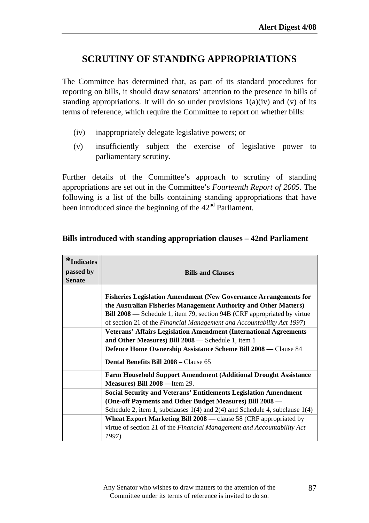### **SCRUTINY OF STANDING APPROPRIATIONS**

The Committee has determined that, as part of its standard procedures for reporting on bills, it should draw senators' attention to the presence in bills of standing appropriations. It will do so under provisions  $1(a)(iv)$  and (v) of its terms of reference, which require the Committee to report on whether bills:

- (iv) inappropriately delegate legislative powers; or
- (v) insufficiently subject the exercise of legislative power to parliamentary scrutiny.

Further details of the Committee's approach to scrutiny of standing appropriations are set out in the Committee's *Fourteenth Report of 2005*. The following is a list of the bills containing standing appropriations that have been introduced since the beginning of the  $42<sup>nd</sup>$  Parliament.

| *Indicates<br>passed by | <b>Bills and Clauses</b>                                                                                                                                                                                                                                                                                 |  |  |  |  |  |  |  |
|-------------------------|----------------------------------------------------------------------------------------------------------------------------------------------------------------------------------------------------------------------------------------------------------------------------------------------------------|--|--|--|--|--|--|--|
| <b>Senate</b>           |                                                                                                                                                                                                                                                                                                          |  |  |  |  |  |  |  |
|                         | <b>Fisheries Legislation Amendment (New Governance Arrangements for</b><br>the Australian Fisheries Management Authority and Other Matters)<br><b>Bill 2008</b> — Schedule 1, item 79, section 94B (CRF appropriated by virtue<br>of section 21 of the Financial Management and Accountability Act 1997) |  |  |  |  |  |  |  |
|                         | <b>Veterans' Affairs Legislation Amendment (International Agreements</b>                                                                                                                                                                                                                                 |  |  |  |  |  |  |  |
|                         | and Other Measures) Bill 2008 - Schedule 1, item 1                                                                                                                                                                                                                                                       |  |  |  |  |  |  |  |
|                         | Defence Home Ownership Assistance Scheme Bill 2008 - Clause 84                                                                                                                                                                                                                                           |  |  |  |  |  |  |  |
|                         | <b>Dental Benefits Bill 2008 – Clause 65</b>                                                                                                                                                                                                                                                             |  |  |  |  |  |  |  |
|                         | <b>Farm Household Support Amendment (Additional Drought Assistance)</b>                                                                                                                                                                                                                                  |  |  |  |  |  |  |  |
|                         | Measures) Bill 2008 - Item 29.                                                                                                                                                                                                                                                                           |  |  |  |  |  |  |  |
|                         | <b>Social Security and Veterans' Entitlements Legislation Amendment</b>                                                                                                                                                                                                                                  |  |  |  |  |  |  |  |
|                         | (One-off Payments and Other Budget Measures) Bill 2008 -                                                                                                                                                                                                                                                 |  |  |  |  |  |  |  |
|                         | Schedule 2, item 1, subclauses $1(4)$ and $2(4)$ and Schedule 4, subclause $1(4)$                                                                                                                                                                                                                        |  |  |  |  |  |  |  |
|                         | <b>Wheat Export Marketing Bill 2008</b> — clause 58 (CRF appropriated by                                                                                                                                                                                                                                 |  |  |  |  |  |  |  |
|                         | virtue of section 21 of the Financial Management and Accountability Act<br>1997)                                                                                                                                                                                                                         |  |  |  |  |  |  |  |

#### **Bills introduced with standing appropriation clauses – 42nd Parliament**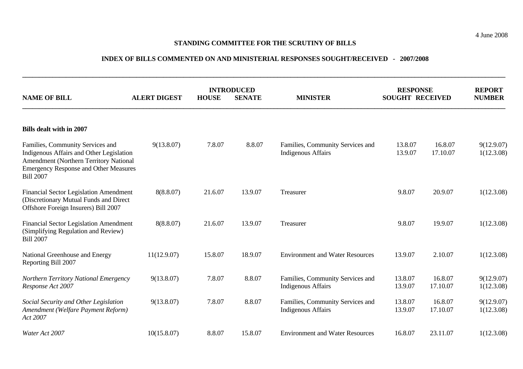#### **STANDING COMMITTEE FOR THE SCRUTINY OF BILLS**

#### **INDEX OF BILLS COMMENTED ON AND MINISTERIAL RESPONSES SOUGHT/RECEIVED - 2007/2008**

**\_\_\_\_\_\_\_\_\_\_\_\_\_\_\_\_\_\_\_\_\_\_\_\_\_\_\_\_\_\_\_\_\_\_\_\_\_\_\_\_\_\_\_\_\_\_\_\_\_\_\_\_\_\_\_\_\_\_\_\_\_\_\_\_\_\_\_\_\_\_\_\_\_\_\_\_\_\_\_\_\_\_\_\_\_\_\_\_\_\_\_\_\_\_\_\_\_\_\_\_\_\_\_\_\_\_\_\_\_\_\_\_\_\_\_\_\_\_\_\_\_\_\_\_\_\_\_\_\_\_\_\_\_\_\_\_\_\_\_\_\_\_\_\_** 

| <b>NAME OF BILL</b><br><b>ALERT DIGEST</b>                                                                                                                                                 |             | <b>INTRODUCED</b><br><b>HOUSE</b><br><b>SENATE</b> |         | <b>MINISTER</b>                                               | <b>RESPONSE</b><br><b>SOUGHT RECEIVED</b> |                     | <b>REPORT</b><br><b>NUMBER</b> |  |  |  |
|--------------------------------------------------------------------------------------------------------------------------------------------------------------------------------------------|-------------|----------------------------------------------------|---------|---------------------------------------------------------------|-------------------------------------------|---------------------|--------------------------------|--|--|--|
| <b>Bills dealt with in 2007</b>                                                                                                                                                            |             |                                                    |         |                                                               |                                           |                     |                                |  |  |  |
| Families, Community Services and<br>Indigenous Affairs and Other Legislation<br>Amendment (Northern Territory National<br><b>Emergency Response and Other Measures</b><br><b>Bill 2007</b> | 9(13.8.07)  | 7.8.07                                             | 8.8.07  | Families, Community Services and<br><b>Indigenous Affairs</b> | 13.8.07<br>13.9.07                        | 16.8.07<br>17.10.07 | 9(12.9.07)<br>1(12.3.08)       |  |  |  |
| <b>Financial Sector Legislation Amendment</b><br>(Discretionary Mutual Funds and Direct<br>Offshore Foreign Insurers) Bill 2007                                                            | 8(8.8.07)   | 21.6.07                                            | 13.9.07 | Treasurer                                                     | 9.8.07                                    | 20.9.07             | 1(12.3.08)                     |  |  |  |
| <b>Financial Sector Legislation Amendment</b><br>(Simplifying Regulation and Review)<br><b>Bill 2007</b>                                                                                   | 8(8.8.07)   | 21.6.07                                            | 13.9.07 | Treasurer                                                     | 9.8.07                                    | 19.9.07             | 1(12.3.08)                     |  |  |  |
| National Greenhouse and Energy<br>Reporting Bill 2007                                                                                                                                      | 11(12.9.07) | 15.8.07                                            | 18.9.07 | <b>Environment and Water Resources</b>                        | 13.9.07                                   | 2.10.07             | 1(12.3.08)                     |  |  |  |
| Northern Territory National Emergency<br>Response Act 2007                                                                                                                                 | 9(13.8.07)  | 7.8.07                                             | 8.8.07  | Families, Community Services and<br><b>Indigenous Affairs</b> | 13.8.07<br>13.9.07                        | 16.8.07<br>17.10.07 | 9(12.9.07)<br>1(12.3.08)       |  |  |  |
| Social Security and Other Legislation<br>Amendment (Welfare Payment Reform)<br>Act 2007                                                                                                    | 9(13.8.07)  | 7.8.07                                             | 8.8.07  | Families, Community Services and<br><b>Indigenous Affairs</b> | 13.8.07<br>13.9.07                        | 16.8.07<br>17.10.07 | 9(12.9.07)<br>1(12.3.08)       |  |  |  |
| Water Act 2007                                                                                                                                                                             | 10(15.8.07) | 8.8.07                                             | 15.8.07 | <b>Environment and Water Resources</b>                        | 16.8.07                                   | 23.11.07            | 1(12.3.08)                     |  |  |  |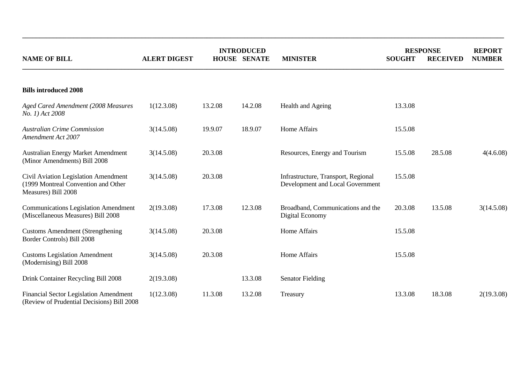|                                                                                                    | <b>INTRODUCED</b>   |         |                     |                                                                         | <b>RESPONSE</b> |                 | <b>REPORT</b> |
|----------------------------------------------------------------------------------------------------|---------------------|---------|---------------------|-------------------------------------------------------------------------|-----------------|-----------------|---------------|
| <b>NAME OF BILL</b>                                                                                | <b>ALERT DIGEST</b> |         | <b>HOUSE SENATE</b> | <b>MINISTER</b>                                                         | <b>SOUGHT</b>   | <b>RECEIVED</b> | <b>NUMBER</b> |
| <b>Bills introduced 2008</b>                                                                       |                     |         |                     |                                                                         |                 |                 |               |
| Aged Cared Amendment (2008 Measures<br>No. 1) Act 2008                                             | 1(12.3.08)          | 13.2.08 | 14.2.08             | Health and Ageing                                                       | 13.3.08         |                 |               |
| <b>Australian Crime Commission</b><br><b>Amendment Act 2007</b>                                    | 3(14.5.08)          | 19.9.07 | 18.9.07             | Home Affairs                                                            | 15.5.08         |                 |               |
| <b>Australian Energy Market Amendment</b><br>(Minor Amendments) Bill 2008                          | 3(14.5.08)          | 20.3.08 |                     | Resources, Energy and Tourism                                           | 15.5.08         | 28.5.08         | 4(4.6.08)     |
| Civil Aviation Legislation Amendment<br>(1999 Montreal Convention and Other<br>Measures) Bill 2008 | 3(14.5.08)          | 20.3.08 |                     | Infrastructure, Transport, Regional<br>Development and Local Government | 15.5.08         |                 |               |
| <b>Communications Legislation Amendment</b><br>(Miscellaneous Measures) Bill 2008                  | 2(19.3.08)          | 17.3.08 | 12.3.08             | Broadband, Communications and the<br>Digital Economy                    | 20.3.08         | 13.5.08         | 3(14.5.08)    |
| <b>Customs Amendment (Strengthening</b><br>Border Controls) Bill 2008                              | 3(14.5.08)          | 20.3.08 |                     | Home Affairs                                                            | 15.5.08         |                 |               |
| <b>Customs Legislation Amendment</b><br>(Modernising) Bill 2008                                    | 3(14.5.08)          | 20.3.08 |                     | Home Affairs                                                            | 15.5.08         |                 |               |
| Drink Container Recycling Bill 2008                                                                | 2(19.3.08)          |         | 13.3.08             | <b>Senator Fielding</b>                                                 |                 |                 |               |
| <b>Financial Sector Legislation Amendment</b><br>(Review of Prudential Decisions) Bill 2008        | 1(12.3.08)          | 11.3.08 | 13.2.08             | Treasury                                                                | 13.3.08         | 18.3.08         | 2(19.3.08)    |